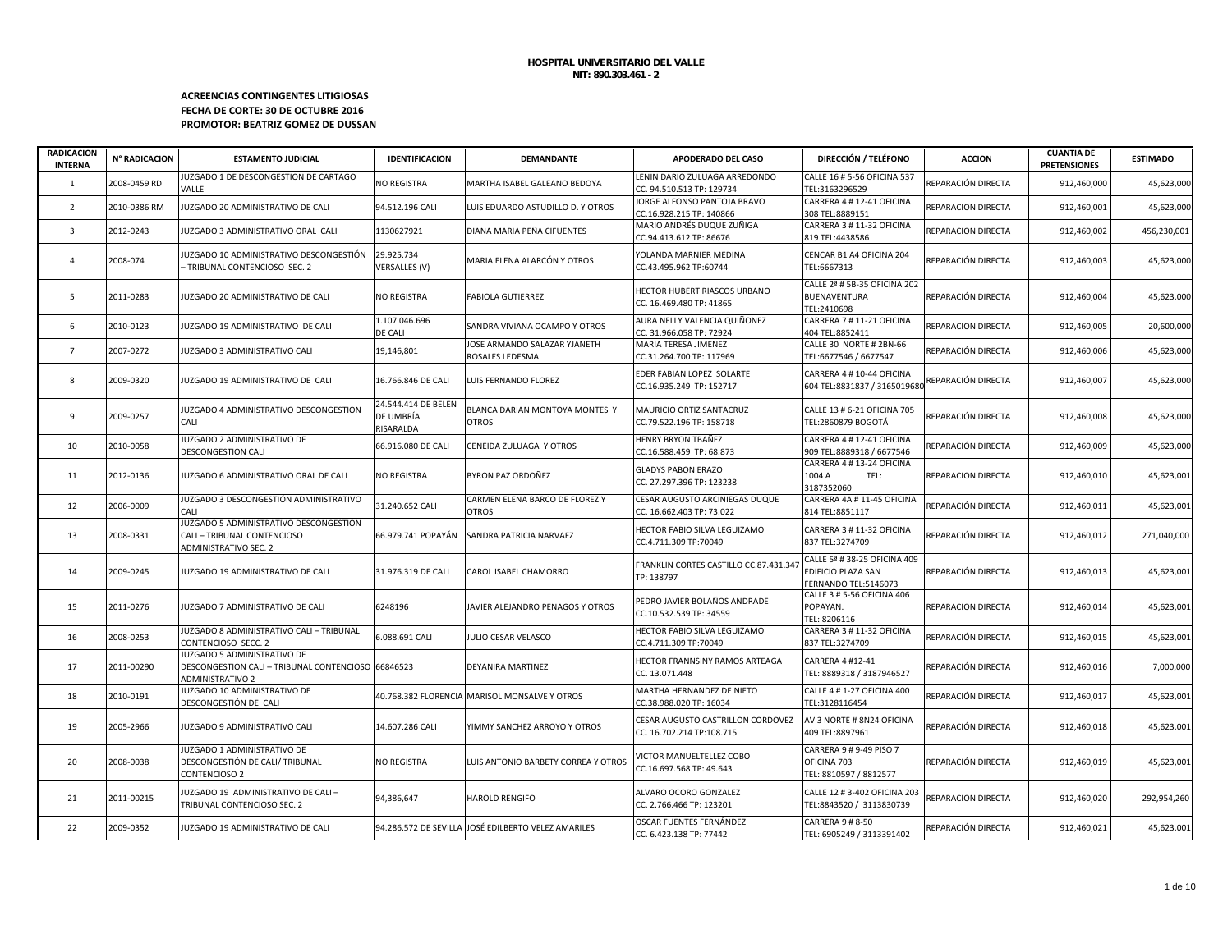# **ACREENCIAS CONTINGENTES LITIGIOSAS FECHA DE CORTE: 30 DE OCTUBRE 2016 PROMOTOR: BEATRIZ GOMEZ DE DUSSAN**

| <b>RADICACION</b><br><b>INTERNA</b> | N° RADICACION | <b>ESTAMENTO JUDICIAL</b>                                                                                    | <b>IDENTIFICACION</b>                         | <b>DEMANDANTE</b>                                   | <b>APODERADO DEL CASO</b>                                          | DIRECCIÓN / TELÉFONO                                                       | <b>ACCION</b>      | <b>CUANTIA DE</b><br><b>PRETENSIONES</b> | <b>ESTIMADO</b> |
|-------------------------------------|---------------|--------------------------------------------------------------------------------------------------------------|-----------------------------------------------|-----------------------------------------------------|--------------------------------------------------------------------|----------------------------------------------------------------------------|--------------------|------------------------------------------|-----------------|
| $\mathbf{1}$                        | 2008-0459 RD  | JUZGADO 1 DE DESCONGESTION DE CARTAGO<br>VALLE                                                               | NO REGISTRA                                   | MARTHA ISABEL GALEANO BEDOYA                        | LENIN DARIO ZULUAGA ARREDONDO<br>CC. 94.510.513 TP: 129734         | CALLE 16 # 5-56 OFICINA 537<br>TEL:3163296529                              | REPARACIÓN DIRECTA | 912,460,000                              | 45,623,000      |
| $\overline{2}$                      | 2010-0386 RM  | JUZGADO 20 ADMINISTRATIVO DE CALI                                                                            | 94.512.196 CALI                               | LUIS EDUARDO ASTUDILLO D. Y OTROS                   | JORGE ALFONSO PANTOJA BRAVO<br>CC.16.928.215 TP: 140866            | CARRERA 4 # 12-41 OFICINA<br>308 TEL:8889151                               | REPARACION DIRECTA | 912,460,001                              | 45,623,000      |
| $\overline{3}$                      | 2012-0243     | JUZGADO 3 ADMINISTRATIVO ORAL CALI                                                                           | 1130627921                                    | DIANA MARIA PEÑA CIFUENTES                          | MARIO ANDRÉS DUQUE ZUÑIGA<br>CC.94.413.612 TP: 86676               | CARRERA 3 # 11-32 OFICINA<br>819 TEL:4438586                               | REPARACION DIRECTA | 912,460,002                              | 456,230,001     |
| 4                                   | 2008-074      | JUZGADO 10 ADMINISTRATIVO DESCONGESTIÓN<br>- TRIBUNAL CONTENCIOSO SEC. 2                                     | 29.925.734<br>VERSALLES (V)                   | MARIA ELENA ALARCÓN Y OTROS                         | YOLANDA MARNIER MEDINA<br>CC.43.495.962 TP:60744                   | CENCAR B1 A4 OFICINA 204<br>TEL:6667313                                    | REPARACIÓN DIRECTA | 912,460,003                              | 45,623,000      |
| 5                                   | 2011-0283     | JUZGADO 20 ADMINISTRATIVO DE CALI                                                                            | NO REGISTRA                                   | <b>FABIOLA GUTIERREZ</b>                            | HECTOR HUBERT RIASCOS URBANO<br>CC. 16.469.480 TP: 41865           | CALLE 2ª # 5B-35 OFICINA 202<br>BUENAVENTURA<br>TEL:2410698                | REPARACIÓN DIRECTA | 912,460,004                              | 45,623,000      |
| 6                                   | 2010-0123     | JUZGADO 19 ADMINISTRATIVO DE CALI                                                                            | 1.107.046.696<br>DE CALI                      | SANDRA VIVIANA OCAMPO Y OTROS                       | AURA NELLY VALENCIA QUIÑONEZ<br>CC. 31.966.058 TP: 72924           | CARRERA 7 # 11-21 OFICINA<br>404 TEL:8852411                               | REPARACION DIRECTA | 912,460,005                              | 20,600,000      |
| $\overline{7}$                      | 2007-0272     | JUZGADO 3 ADMINISTRATIVO CALI                                                                                | 19,146,801                                    | JOSE ARMANDO SALAZAR YJANETH<br>ROSALES LEDESMA     | MARIA TERESA JIMENEZ<br>CC.31.264.700 TP: 117969                   | CALLE 30 NORTE # 2BN-66<br>TEL:6677546 / 6677547                           | REPARACIÓN DIRECTA | 912,460,006                              | 45,623,000      |
| 8                                   | 2009-0320     | JUZGADO 19 ADMINISTRATIVO DE CALI                                                                            | 16.766.846 DE CALI                            | LUIS FERNANDO FLOREZ                                | EDER FABIAN LOPEZ SOLARTE<br>CC.16.935.249 TP: 152717              | CARRERA 4 # 10-44 OFICINA<br>604 TEL:8831837 / 3165019680                  | REPARACIÓN DIRECTA | 912,460,007                              | 45,623,000      |
| 9                                   | 2009-0257     | JUZGADO 4 ADMINISTRATIVO DESCONGESTION<br>CALI                                                               | 24.544.414 DE BELEN<br>DE UMBRÍA<br>RISARALDA | BLANCA DARIAN MONTOYA MONTES Y<br><b>OTROS</b>      | MAURICIO ORTIZ SANTACRUZ<br>CC.79.522.196 TP: 158718               | CALLE 13 # 6-21 OFICINA 705<br>TEL:2860879 BOGOTÁ                          | REPARACIÓN DIRECTA | 912,460,008                              | 45,623,000      |
| 10                                  | 2010-0058     | JUZGADO 2 ADMINISTRATIVO DE<br>DESCONGESTION CALI                                                            | 66.916.080 DE CALI                            | CENEIDA ZULUAGA Y OTROS                             | <b>HENRY BRYON TBAÑEZ</b><br>CC.16.588.459 TP: 68.873              | CARRERA 4 # 12-41 OFICINA<br>909 TEL:8889318 / 6677546                     | REPARACIÓN DIRECTA | 912,460,009                              | 45,623,000      |
| 11                                  | 2012-0136     | JUZGADO 6 ADMINISTRATIVO ORAL DE CALI                                                                        | NO REGISTRA                                   | BYRON PAZ ORDOÑEZ                                   | <b>GLADYS PABON ERAZO</b><br>CC. 27.297.396 TP: 123238             | CARRERA 4 # 13-24 OFICINA<br>1004 A<br>TEL:<br>3187352060                  | REPARACION DIRECTA | 912,460,010                              | 45,623,001      |
| 12                                  | 2006-0009     | JUZGADO 3 DESCONGESTIÓN ADMINISTRATIVO<br>CALI                                                               | 31.240.652 CALI                               | CARMEN ELENA BARCO DE FLOREZ Y<br><b>OTROS</b>      | <b>CESAR AUGUSTO ARCINIEGAS DUQUE</b><br>CC. 16.662.403 TP: 73.022 | CARRERA 4A # 11-45 OFICINA<br>814 TEL:8851117                              | REPARACIÓN DIRECTA | 912,460,011                              | 45,623,001      |
| 13                                  | 2008-0331     | JUZGADO 5 ADMINISTRATIVO DESCONGESTION<br>CALI - TRIBUNAL CONTENCIOSO<br>ADMINISTRATIVO SEC. 2               |                                               | 66.979.741 POPAYÁN SANDRA PATRICIA NARVAEZ          | HECTOR FABIO SILVA LEGUIZAMO<br>CC.4.711.309 TP:70049              | CARRERA 3 # 11-32 OFICINA<br>837 TEL:3274709                               | REPARACIÓN DIRECTA | 912,460,012                              | 271,040,000     |
| 14                                  | 2009-0245     | JUZGADO 19 ADMINISTRATIVO DE CALI                                                                            | 31.976.319 DE CALI                            | CAROL ISABEL CHAMORRO                               | FRANKLIN CORTES CASTILLO CC.87.431.347<br>TP: 138797               | CALLE 5ª # 38-25 OFICINA 409<br>EDIFICIO PLAZA SAN<br>FERNANDO TEL:5146073 | REPARACIÓN DIRECTA | 912,460,013                              | 45,623,001      |
| 15                                  | 2011-0276     | JUZGADO 7 ADMINISTRATIVO DE CALI                                                                             | 6248196                                       | JAVIER ALEJANDRO PENAGOS Y OTROS                    | PEDRO JAVIER BOLAÑOS ANDRADE<br>CC.10.532.539 TP: 34559            | CALLE 3 # 5-56 OFICINA 406<br>POPAYAN.<br>TEL: 8206116                     | REPARACION DIRECTA | 912,460,014                              | 45,623,001      |
| 16                                  | 2008-0253     | JUZGADO 8 ADMINISTRATIVO CALI - TRIBUNAL<br>CONTENCIOSO SECC. 2                                              | 6.088.691 CALI                                | JULIO CESAR VELASCO                                 | HECTOR FABIO SILVA LEGUIZAMO<br>CC.4.711.309 TP:70049              | CARRERA 3 # 11-32 OFICINA<br>837 TEL:3274709                               | REPARACIÓN DIRECTA | 912,460,015                              | 45,623,001      |
| 17                                  | 2011-00290    | JUZGADO 5 ADMINISTRATIVO DE<br>DESCONGESTION CALI - TRIBUNAL CONTENCIOSO 66846523<br><b>ADMINISTRATIVO 2</b> |                                               | DEYANIRA MARTINEZ                                   | HECTOR FRANNSINY RAMOS ARTEAGA<br>CC. 13.071.448                   | CARRERA 4 #12-41<br>TEL: 8889318 / 3187946527                              | REPARACIÓN DIRECTA | 912,460,016                              | 7,000,000       |
| 18                                  | 2010-0191     | JUZGADO 10 ADMINISTRATIVO DE<br>DESCONGESTIÓN DE CALI                                                        |                                               | 40.768.382 FLORENCIA MARISOL MONSALVE Y OTROS       | MARTHA HERNANDEZ DE NIETO<br>CC.38.988.020 TP: 16034               | CALLE 4 # 1-27 OFICINA 400<br>TEL:3128116454                               | REPARACIÓN DIRECTA | 912,460,017                              | 45,623,001      |
| 19                                  | 2005-2966     | JUZGADO 9 ADMINISTRATIVO CALI                                                                                | 14.607.286 CALI                               | YIMMY SANCHEZ ARROYO Y OTROS                        | CESAR AUGUSTO CASTRILLON CORDOVEZ<br>CC. 16.702.214 TP:108.715     | AV 3 NORTE # 8N24 OFICINA<br>409 TEL:8897961                               | REPARACIÓN DIRECTA | 912,460,018                              | 45,623,001      |
| 20                                  | 2008-0038     | JUZGADO 1 ADMINISTRATIVO DE<br>DESCONGESTIÓN DE CALI/ TRIBUNAL<br>CONTENCIOSO 2                              | <b>NO REGISTRA</b>                            | LUIS ANTONIO BARBETY CORREA Y OTROS                 | VICTOR MANUELTELLEZ COBO<br>CC.16.697.568 TP: 49.643               | CARRERA 9 # 9-49 PISO 7<br>OFICINA 703<br>TEL: 8810597 / 8812577           | REPARACIÓN DIRECTA | 912,460,019                              | 45,623,001      |
| 21                                  | 2011-00215    | JUZGADO 19 ADMINISTRATIVO DE CALI-<br>TRIBUNAL CONTENCIOSO SEC. 2                                            | 94,386,647                                    | <b>HAROLD RENGIFO</b>                               | ALVARO OCORO GONZALEZ<br>CC. 2.766.466 TP: 123201                  | CALLE 12 # 3-402 OFICINA 203<br>TEL:8843520 / 3113830739                   | REPARACION DIRECTA | 912,460,020                              | 292,954,260     |
| 22                                  | 2009-0352     | JUZGADO 19 ADMINISTRATIVO DE CALI                                                                            |                                               | 94.286.572 DE SEVILLA JOSÉ EDILBERTO VELEZ AMARILES | OSCAR FUENTES FERNÁNDEZ<br>CC. 6.423.138 TP: 77442                 | CARRERA 9 # 8-50<br>TEL: 6905249 / 3113391402                              | REPARACIÓN DIRECTA | 912,460,021                              | 45,623,001      |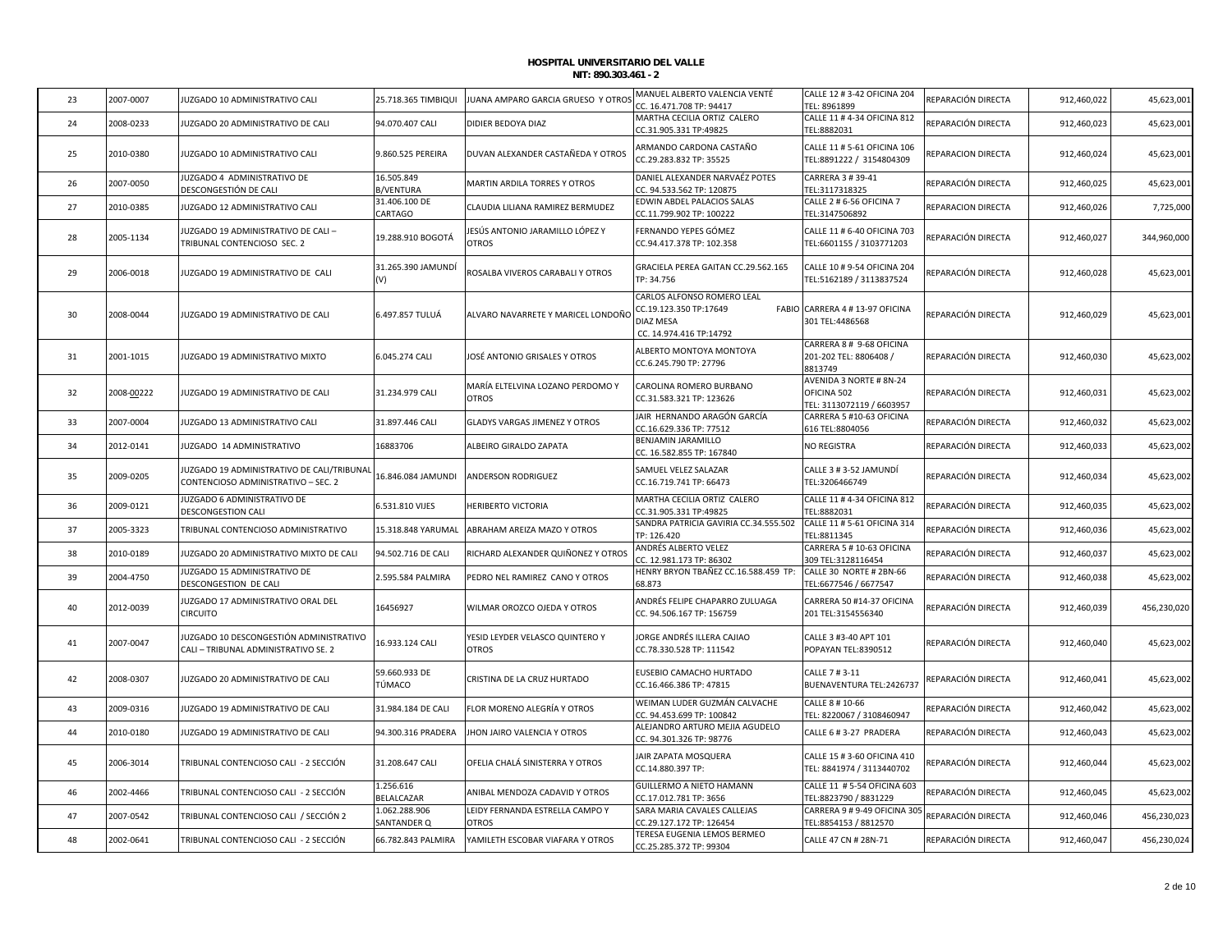| 23 | 2007-0007  | JUZGADO 10 ADMINISTRATIVO CALI                                                    | 25.718.365 TIMBIQUI            | JUANA AMPARO GARCIA GRUESO Y OTROS               | MANUEL ALBERTO VALENCIA VENTÉ<br>CC. 16.471.708 TP: 94417                                    | CALLE 12 # 3-42 OFICINA 204<br>TEL: 8961899                         | REPARACIÓN DIRECTA | 912,460,022 | 45,623,001  |
|----|------------|-----------------------------------------------------------------------------------|--------------------------------|--------------------------------------------------|----------------------------------------------------------------------------------------------|---------------------------------------------------------------------|--------------------|-------------|-------------|
| 24 | 2008-0233  | JUZGADO 20 ADMINISTRATIVO DE CALI                                                 | 94.070.407 CALI                | DIDIER BEDOYA DIAZ                               | MARTHA CECILIA ORTIZ CALERO<br>CC.31.905.331 TP:49825                                        | CALLE 11 # 4-34 OFICINA 812<br>TEL:8882031                          | REPARACIÓN DIRECTA | 912,460,023 | 45,623,001  |
| 25 | 2010-0380  | JUZGADO 10 ADMINISTRATIVO CALI                                                    | 9.860.525 PEREIRA              | DUVAN ALEXANDER CASTAÑEDA Y OTROS                | ARMANDO CARDONA CASTAÑO<br>CC.29.283.832 TP: 35525                                           | CALLE 11 # 5-61 OFICINA 106<br>TEL:8891222 / 3154804309             | REPARACION DIRECTA | 912,460,024 | 45,623,001  |
| 26 | 2007-0050  | JUZGADO 4 ADMINISTRATIVO DE<br>DESCONGESTIÓN DE CALI                              | 16.505.849<br><b>B/VENTURA</b> | MARTIN ARDILA TORRES Y OTROS                     | DANIEL ALEXANDER NARVAÉZ POTES<br>CC. 94.533.562 TP: 120875                                  | CARRERA 3 # 39-41<br>TEL:3117318325                                 | REPARACIÓN DIRECTA | 912,460,025 | 45,623,00   |
| 27 | 2010-0385  | JUZGADO 12 ADMINISTRATIVO CALI                                                    | 31.406.100 DE<br>CARTAGO       | CLAUDIA LILIANA RAMIREZ BERMUDEZ                 | EDWIN ABDEL PALACIOS SALAS<br>CC.11.799.902 TP: 100222                                       | CALLE 2 # 6-56 OFICINA 7<br>TEL:3147506892                          | REPARACION DIRECTA | 912,460,026 | 7,725,000   |
| 28 | 2005-1134  | JUZGADO 19 ADMINISTRATIVO DE CALI -<br>TRIBUNAL CONTENCIOSO SEC. 2                | 19.288.910 BOGOTÁ              | IESÚS ANTONIO JARAMILLO LÓPEZ Y<br><b>OTROS</b>  | FERNANDO YEPES GÓMEZ<br>CC.94.417.378 TP: 102.358                                            | CALLE 11 # 6-40 OFICINA 703<br>TEL:6601155 / 3103771203             | REPARACIÓN DIRECTA | 912,460,027 | 344,960,000 |
| 29 | 2006-0018  | JUZGADO 19 ADMINISTRATIVO DE CALI                                                 | 31.265.390 JAMUNDİ             | ROSALBA VIVEROS CARABALI Y OTROS                 | GRACIELA PEREA GAITAN CC.29.562.165<br>TP: 34.756                                            | CALLE 10 # 9-54 OFICINA 204<br>TEL:5162189 / 3113837524             | REPARACIÓN DIRECTA | 912,460,028 | 45,623,001  |
| 30 | 2008-0044  | JUZGADO 19 ADMINISTRATIVO DE CALI                                                 | 6.497.857 TULUÁ                | ALVARO NAVARRETE Y MARICEL LONDOÑO               | CARLOS ALFONSO ROMERO LEAL<br>CC.19.123.350 TP:17649<br>DIAZ MESA<br>CC. 14.974.416 TP:14792 | FABIO CARRERA 4 # 13-97 OFICINA<br>301 TEL:4486568                  | REPARACIÓN DIRECTA | 912,460,029 | 45,623,001  |
| 31 | 2001-1015  | JUZGADO 19 ADMINISTRATIVO MIXTO                                                   | 6.045.274 CALI                 | JOSÉ ANTONIO GRISALES Y OTROS                    | ALBERTO MONTOYA MONTOYA<br>CC.6.245.790 TP: 27796                                            | CARRERA 8 # 9-68 OFICINA<br>201-202 TEL: 8806408 /<br>8813749       | REPARACIÓN DIRECTA | 912,460,030 | 45,623,002  |
| 32 | 2008-00222 | JUZGADO 19 ADMINISTRATIVO DE CALI                                                 | 31.234.979 CALI                | MARÍA ELTELVINA LOZANO PERDOMO Y<br><b>OTROS</b> | CAROLINA ROMERO BURBANO<br>CC.31.583.321 TP: 123626                                          | AVENIDA 3 NORTE # 8N-24<br>OFICINA 502<br>FEL: 3113072119 / 6603957 | REPARACIÓN DIRECTA | 912,460,031 | 45,623,002  |
| 33 | 2007-0004  | JUZGADO 13 ADMINISTRATIVO CALI                                                    | 31.897.446 CALI                | <b>GLADYS VARGAS JIMENEZ Y OTROS</b>             | JAIR HERNANDO ARAGÓN GARCÍA<br>CC.16.629.336 TP: 77512                                       | CARRERA 5 #10-63 OFICINA<br>616 TEL:8804056                         | REPARACIÓN DIRECTA | 912,460,032 | 45,623,002  |
| 34 | 2012-0141  | JUZGADO 14 ADMINISTRATIVO                                                         | 16883706                       | ALBEIRO GIRALDO ZAPATA                           | BENJAMIN JARAMILLO<br>CC. 16.582.855 TP: 167840                                              | NO REGISTRA                                                         | REPARACIÓN DIRECTA | 912,460,033 | 45,623,002  |
| 35 | 2009-0205  | JUZGADO 19 ADMINISTRATIVO DE CALI/TRIBUNAL<br>CONTENCIOSO ADMINISTRATIVO - SEC. 2 | 16.846.084 JAMUNDI             | <b>ANDERSON RODRIGUEZ</b>                        | SAMUEL VELEZ SALAZAR<br>CC.16.719.741 TP: 66473                                              | CALLE 3 # 3-52 JAMUNDÍ<br>TEL:3206466749                            | REPARACIÓN DIRECTA | 912,460,034 | 45,623,002  |
| 36 | 2009-0121  | JUZGADO 6 ADMINISTRATIVO DE<br><b>DESCONGESTION CALI</b>                          | 6.531.810 VIJES                | HERIBERTO VICTORIA                               | MARTHA CECILIA ORTIZ CALERO<br>CC.31.905.331 TP:49825                                        | CALLE 11 # 4-34 OFICINA 812<br>TEL:8882031                          | REPARACIÓN DIRECTA | 912,460,035 | 45,623,002  |
| 37 | 2005-3323  | TRIBUNAL CONTENCIOSO ADMINISTRATIVO                                               | 15.318.848 YARUMAL             | ABRAHAM AREIZA MAZO Y OTROS                      | SANDRA PATRICIA GAVIRIA CC.34.555.502<br>TP: 126.420                                         | CALLE 11 # 5-61 OFICINA 314<br>TEL:8811345                          | REPARACIÓN DIRECTA | 912,460,036 | 45,623,002  |
| 38 | 2010-0189  | JUZGADO 20 ADMINISTRATIVO MIXTO DE CALI                                           | 94.502.716 DE CALI             | RICHARD ALEXANDER QUIÑONEZ Y OTROS               | ANDRÉS ALBERTO VELEZ<br>CC. 12.981.173 TP: 86302                                             | CARRERA 5 # 10-63 OFICINA<br>309 TEL:3128116454                     | REPARACIÓN DIRECTA | 912,460,037 | 45,623,00   |
| 39 | 2004-4750  | JUZGADO 15 ADMINISTRATIVO DE<br>DESCONGESTION DE CALI                             | 2.595.584 PALMIRA              | PEDRO NEL RAMIREZ CANO Y OTROS                   | HENRY BRYON TBAÑEZ CC.16.588.459 TP:<br>68.873                                               | CALLE 30 NORTE # 2BN-66<br>TEL:6677546 / 6677547                    | REPARACIÓN DIRECTA | 912,460,038 | 45,623,002  |
| 40 | 2012-0039  | JUZGADO 17 ADMINISTRATIVO ORAL DEL<br><b>CIRCUITO</b>                             | 16456927                       | WILMAR OROZCO OJEDA Y OTROS                      | ANDRÉS FELIPE CHAPARRO ZULUAGA<br>CC. 94.506.167 TP: 156759                                  | CARRERA 50 #14-37 OFICINA<br>201 TEL:3154556340                     | REPARACIÓN DIRECTA | 912,460,039 | 456,230,020 |
| 41 | 2007-0047  | JUZGADO 10 DESCONGESTIÓN ADMINISTRATIVO<br>CALI - TRIBUNAL ADMINISTRATIVO SE. 2   | 16.933.124 CALI                | YESID LEYDER VELASCO QUINTERO Y<br><b>OTROS</b>  | JORGE ANDRÉS ILLERA CAJIAO<br>CC.78.330.528 TP: 111542                                       | CALLE 3 #3-40 APT 101<br>POPAYAN TEL:8390512                        | REPARACIÓN DIRECTA | 912,460,040 | 45,623,002  |
| 42 | 2008-0307  | JUZGADO 20 ADMINISTRATIVO DE CALI                                                 | 59.660.933 DE<br>TÚMACO        | CRISTINA DE LA CRUZ HURTADO                      | EUSEBIO CAMACHO HURTADO<br>CC.16.466.386 TP: 47815                                           | CALLE 7 # 3-11<br>BUENAVENTURA TEL:2426737                          | REPARACIÓN DIRECTA | 912,460,041 | 45,623,002  |
| 43 | 2009-0316  | JUZGADO 19 ADMINISTRATIVO DE CALI                                                 | 31.984.184 DE CALI             | ELOR MORENO ALEGRÍA Y OTROS                      | WEIMAN LUDER GUZMÁN CALVACHE<br>CC. 94.453.699 TP: 100842                                    | CALLE 8 # 10-66<br>TEL: 8220067 / 3108460947                        | REPARACIÓN DIRECTA | 912,460,042 | 45,623,002  |
| 44 | 2010-0180  | JUZGADO 19 ADMINISTRATIVO DE CALI                                                 | 94.300.316 PRADERA             | HON JAIRO VALENCIA Y OTROS                       | ALEJANDRO ARTURO MEJIA AGUDELO<br>CC. 94.301.326 TP: 98776                                   | CALLE 6 # 3-27 PRADERA                                              | REPARACIÓN DIRECTA | 912,460,043 | 45,623,002  |
| 45 | 2006-3014  | TRIBUNAL CONTENCIOSO CALI - 2 SECCIÓN                                             | 31.208.647 CALI                | OFELIA CHALÁ SINISTERRA Y OTROS                  | JAIR ZAPATA MOSQUERA<br>CC.14.880.397 TP:                                                    | CALLE 15 # 3-60 OFICINA 410<br>TEL: 8841974 / 3113440702            | REPARACIÓN DIRECTA | 912,460,044 | 45,623,002  |
| 46 | 2002-4466  | TRIBUNAL CONTENCIOSO CALI - 2 SECCIÓN                                             | 1.256.616<br>BELALCAZAR        | ANIBAL MENDOZA CADAVID Y OTROS                   | <b>GUILLERMO A NIETO HAMANN</b><br>CC.17.012.781 TP: 3656                                    | CALLE 11 # 5-54 OFICINA 603<br>TEL:8823790 / 8831229                | REPARACIÓN DIRECTA | 912,460,045 | 45,623,002  |
| 47 | 2007-0542  | TRIBUNAL CONTENCIOSO CALI / SECCIÓN 2                                             | 1.062.288.906<br>SANTANDER Q   | LEIDY FERNANDA ESTRELLA CAMPO Y<br>OTROS         | SARA MARIA CAVALES CALLEJAS<br>CC.29.127.172 TP: 126454                                      | CARRERA 9 # 9-49 OFICINA 305<br>TEL:8854153 / 8812570               | REPARACIÓN DIRECTA | 912,460,046 | 456,230,023 |
| 48 | 2002-0641  | TRIBUNAL CONTENCIOSO CALI - 2 SECCIÓN                                             | 66.782.843 PALMIRA             | YAMILETH ESCOBAR VIAFARA Y OTROS                 | TERESA EUGENIA LEMOS BERMEO<br>CC.25.285.372 TP: 99304                                       | CALLE 47 CN # 28N-71                                                | REPARACIÓN DIRECTA | 912,460,047 | 456,230,024 |
|    |            |                                                                                   |                                |                                                  |                                                                                              |                                                                     |                    |             |             |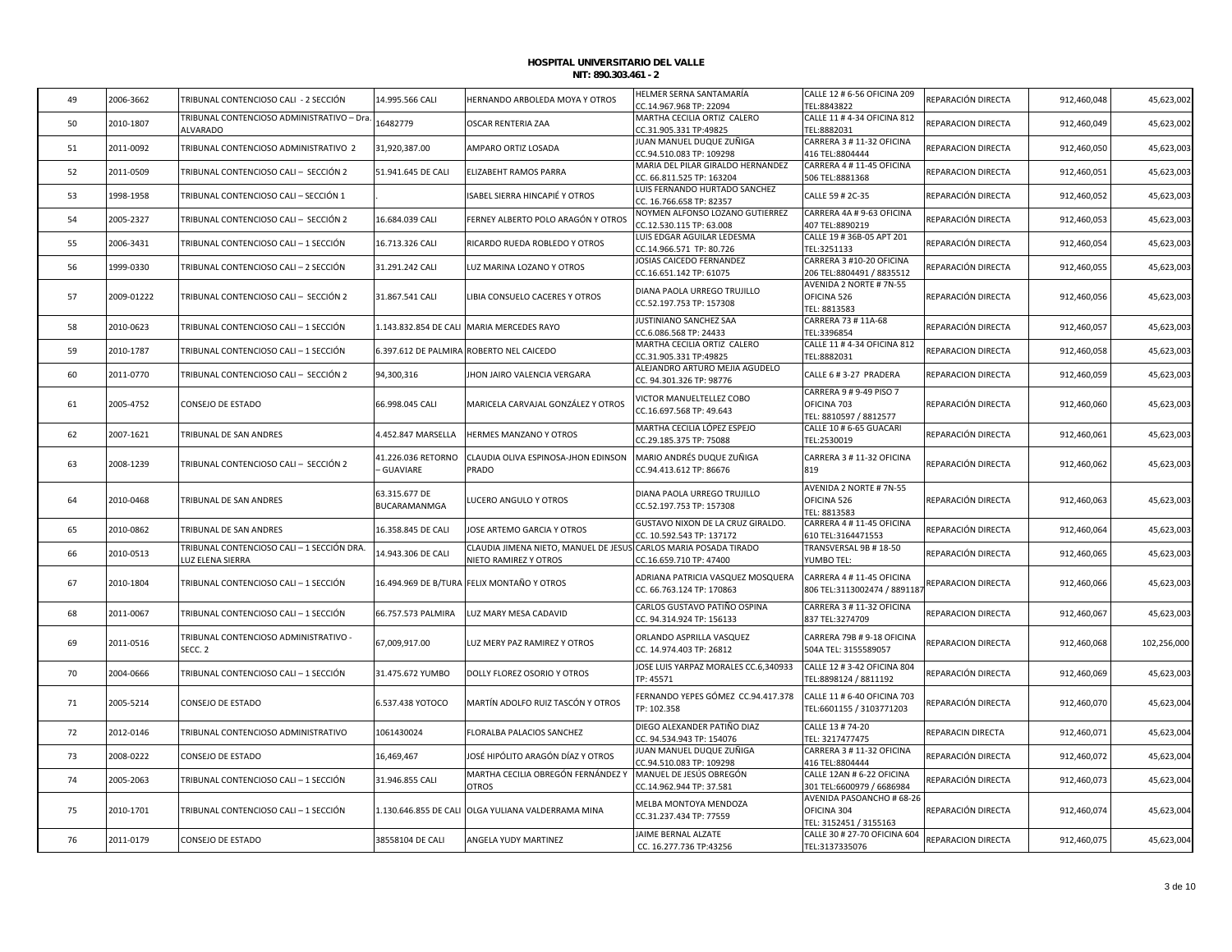| 49 | 2006-3662  | TRIBUNAL CONTENCIOSO CALI - 2 SECCIÓN                        | 14.995.566 CALI       | HERNANDO ARBOLEDA MOYA Y OTROS                     | HELMER SERNA SANTAMARÍA                               | CALLE 12 # 6-56 OFICINA 209                            | REPARACIÓN DIRECTA | 912,460,048 | 45,623,002  |
|----|------------|--------------------------------------------------------------|-----------------------|----------------------------------------------------|-------------------------------------------------------|--------------------------------------------------------|--------------------|-------------|-------------|
|    |            |                                                              |                       |                                                    | CC.14.967.968 TP: 22094                               | EL:8843822                                             |                    |             |             |
| 50 | 2010-1807  | FRIBUNAL CONTENCIOSO ADMINISTRATIVO - Dra<br><b>ALVARADO</b> | 16482779              | <b>OSCAR RENTERIA ZAA</b>                          | MARTHA CECILIA ORTIZ CALERO<br>CC.31.905.331 TP:49825 | CALLE 11 # 4-34 OFICINA 812<br>TEL:8882031             | REPARACION DIRECTA | 912,460,049 | 45,623,002  |
|    |            |                                                              |                       |                                                    | IUAN MANUEL DUQUE ZUÑIGA                              | CARRERA 3 # 11-32 OFICINA                              |                    |             |             |
| 51 | 2011-0092  | TRIBUNAL CONTENCIOSO ADMINISTRATIVO 2                        | 31,920,387.00         | AMPARO ORTIZ LOSADA                                | CC.94.510.083 TP: 109298                              | 416 TEL:8804444                                        | REPARACION DIRECTA | 912,460,050 | 45,623,003  |
|    |            |                                                              |                       |                                                    | MARIA DEL PILAR GIRALDO HERNANDEZ                     | CARRERA 4 # 11-45 OFICINA                              |                    |             |             |
| 52 | 2011-0509  | TRIBUNAL CONTENCIOSO CALI - SECCIÓN 2                        | 51.941.645 DE CALI    | ELIZABEHT RAMOS PARRA                              | CC. 66.811.525 TP: 163204                             | 506 TEL:8881368                                        | REPARACION DIRECTA | 912,460,051 | 45,623,003  |
|    |            |                                                              |                       |                                                    | LUIS FERNANDO HURTADO SANCHEZ                         |                                                        |                    |             |             |
| 53 | 1998-1958  | FRIBUNAL CONTENCIOSO CALI - SECCIÓN 1                        |                       | ISABEL SIERRA HINCAPIÉ Y OTROS                     | CC. 16.766.658 TP: 82357                              | CALLE 59 # 2C-35                                       | REPARACIÓN DIRECTA | 912,460,052 | 45,623,003  |
| 54 | 2005-2327  | FRIBUNAL CONTENCIOSO CALI - SECCIÓN 2                        | 16.684.039 CALI       | FERNEY ALBERTO POLO ARAGÓN Y OTROS                 | NOYMEN ALFONSO LOZANO GUTIERREZ                       | CARRERA 4A # 9-63 OFICINA                              | REPARACIÓN DIRECTA | 912,460,053 | 45,623,003  |
|    |            |                                                              |                       |                                                    | CC.12.530.115 TP: 63.008                              | 407 TEL:8890219                                        |                    |             |             |
| 55 | 2006-3431  | FRIBUNAL CONTENCIOSO CALI – 1 SECCIÓN                        | 16.713.326 CALI       | RICARDO RUEDA ROBLEDO Y OTROS                      | LUIS EDGAR AGUILAR LEDESMA                            | CALLE 19 # 36B-05 APT 201                              | REPARACIÓN DIRECTA | 912,460,054 | 45,623,003  |
|    |            |                                                              |                       |                                                    | CC.14.966.571 TP: 80.726                              | TEL:3251133                                            |                    |             |             |
| 56 | 1999-0330  | TRIBUNAL CONTENCIOSO CALI – 2 SECCIÓN                        | 31.291.242 CALI       | LUZ MARINA LOZANO Y OTROS                          | JOSIAS CAICEDO FERNANDEZ                              | CARRERA 3 #10-20 OFICINA                               | REPARACIÓN DIRECTA | 912,460,055 | 45,623,003  |
|    |            |                                                              |                       |                                                    | CC.16.651.142 TP: 61075                               | 206 TEL:8804491 / 8835512                              |                    |             |             |
| 57 | 2009-01222 | TRIBUNAL CONTENCIOSO CALI - SECCIÓN 2                        |                       | LIBIA CONSUELO CACERES Y OTROS                     | DIANA PAOLA URREGO TRUJILLO                           | AVENIDA 2 NORTE # 7N-55                                | REPARACIÓN DIRECTA |             | 45,623,003  |
|    |            |                                                              | 31.867.541 CALI       |                                                    | CC.52.197.753 TP: 157308                              | OFICINA 526<br>TEL: 8813583                            |                    | 912,460,056 |             |
|    |            |                                                              |                       |                                                    | JUSTINIANO SANCHEZ SAA                                | CARRERA 73 # 11A-68                                    |                    |             |             |
| 58 | 2010-0623  | FRIBUNAL CONTENCIOSO CALI - 1 SECCIÓN                        | 1.143.832.854 DE CALI | <b>MARIA MERCEDES RAYO</b>                         | CC.6.086.568 TP: 24433                                | TEL:3396854                                            | REPARACIÓN DIRECTA | 912,460,057 | 45,623,003  |
|    |            |                                                              |                       |                                                    | MARTHA CECILIA ORTIZ CALERO                           | CALLE 11 # 4-34 OFICINA 812                            |                    |             |             |
| 59 | 2010-1787  | TRIBUNAL CONTENCIOSO CALI - 1 SECCIÓN                        |                       | 6.397.612 DE PALMIRA ROBERTO NEL CAICEDO           | CC.31.905.331 TP:49825                                | TEL:8882031                                            | REPARACION DIRECTA | 912,460,058 | 45,623,003  |
|    |            |                                                              |                       |                                                    | ALEJANDRO ARTURO MEJIA AGUDELO                        |                                                        |                    |             |             |
| 60 | 2011-0770  | FRIBUNAL CONTENCIOSO CALI — SECCIÓN 2                        | 94,300,316            | JHON JAIRO VALENCIA VERGARA                        | CC. 94.301.326 TP: 98776                              | CALLE 6 # 3-27 PRADERA                                 | REPARACION DIRECTA | 912,460,059 | 45,623,003  |
|    |            |                                                              |                       |                                                    | VICTOR MANUELTELLEZ COBO                              | CARRERA 9 # 9-49 PISO 7                                |                    |             |             |
| 61 | 2005-4752  | CONSEJO DE ESTADO                                            | 66.998.045 CALI       | MARICELA CARVAJAL GONZÁLEZ Y OTROS                 | CC.16.697.568 TP: 49.643                              | OFICINA 703                                            | REPARACIÓN DIRECTA | 912,460,060 | 45,623,003  |
|    |            |                                                              |                       |                                                    |                                                       | TEL: 8810597 / 8812577                                 |                    |             |             |
| 62 | 2007-1621  | <b>TRIBUNAL DE SAN ANDRES</b>                                | 1.452.847 MARSELLA    | <b>HERMES MANZANO Y OTROS</b>                      | MARTHA CECILIA LÓPEZ ESPEJO                           | CALLE 10 # 6-65 GUACARI                                | REPARACIÓN DIRECTA | 912,460,061 | 45,623,003  |
|    |            |                                                              |                       |                                                    | CC.29.185.375 TP: 75088                               | TEL:2530019                                            |                    |             |             |
|    |            |                                                              | 41.226.036 RETORNO    | CLAUDIA OLIVA ESPINOSA-JHON EDINSON                | MARIO ANDRÉS DUQUE ZUÑIGA                             | CARRERA 3 # 11-32 OFICINA                              |                    |             |             |
| 63 | 2008-1239  | TRIBUNAL CONTENCIOSO CALI - SECCIÓN 2                        | GUAVIARE              | PRADO                                              | CC.94.413.612 TP: 86676                               | 819                                                    | REPARACIÓN DIRECTA | 912,460,062 | 45,623,003  |
|    |            |                                                              |                       |                                                    |                                                       | AVENIDA 2 NORTE # 7N-55                                |                    |             |             |
| 64 | 2010-0468  | TRIBUNAL DE SAN ANDRES                                       | 63.315.677 DE         | LUCERO ANGULO Y OTROS                              | DIANA PAOLA URREGO TRUJILLO                           | OFICINA 526                                            | REPARACIÓN DIRECTA | 912,460,063 | 45,623,003  |
|    |            |                                                              | <b>BUCARAMANMGA</b>   |                                                    | CC.52.197.753 TP: 157308                              | TEL: 8813583                                           |                    |             |             |
|    |            |                                                              |                       |                                                    | GUSTAVO NIXON DE LA CRUZ GIRALDO.                     | CARRERA 4 # 11-45 OFICINA                              |                    |             |             |
| 65 | 2010-0862  | <b>TRIBUNAL DE SAN ANDRES</b>                                | 16.358.845 DE CALI    | JOSE ARTEMO GARCIA Y OTROS                         | CC. 10.592.543 TP: 137172                             | 610 TEL:3164471553                                     | REPARACIÓN DIRECTA | 912,460,064 | 45,623,003  |
| 66 | 2010-0513  | RIBUNAL CONTENCIOSO CALI - 1 SECCIÓN DRA.                    | 14.943.306 DE CALI    | CLAUDIA JIMENA NIETO, MANUEL DE JESUS              | CARLOS MARIA POSADA TIRADO                            | TRANSVERSAL 9B # 18-50                                 | REPARACIÓN DIRECTA | 912,460,065 | 45,623,00   |
|    |            | UZ ELENA SIERRA                                              |                       | NIETO RAMIREZ Y OTROS                              | CC.16.659.710 TP: 47400                               | <b>UMBO TEL:</b>                                       |                    |             |             |
|    |            |                                                              |                       |                                                    | ADRIANA PATRICIA VASQUEZ MOSQUERA                     | CARRERA 4 # 11-45 OFICINA                              |                    |             |             |
| 67 | 2010-1804  | TRIBUNAL CONTENCIOSO CALI – 1 SECCIÓN                        |                       | 16.494.969 DE B/TURA FELIX MONTAÑO Y OTROS         | CC. 66.763.124 TP: 170863                             | 806 TEL:3113002474 / 8891187                           | REPARACION DIRECTA | 912,460,066 | 45,623,003  |
|    |            |                                                              |                       |                                                    |                                                       |                                                        |                    |             |             |
| 68 | 2011-0067  | ΓRIBUNAL CONTENCIOSO CALI − 1 SECCIÓN                        | 66.757.573 PALMIRA    | LUZ MARY MESA CADAVID                              | CARLOS GUSTAVO PATIÑO OSPINA                          | CARRERA 3 # 11-32 OFICINA                              | REPARACION DIRECTA | 912,460,067 | 45,623,003  |
|    |            |                                                              |                       |                                                    | CC. 94.314.924 TP: 156133                             | 837 TEL:3274709                                        |                    |             |             |
| 69 | 2011-0516  | TRIBUNAL CONTENCIOSO ADMINISTRATIVO -                        | 67,009,917.00         | LUZ MERY PAZ RAMIREZ Y OTROS                       | ORLANDO ASPRILLA VASQUEZ                              | CARRERA 79B # 9-18 OFICINA                             | REPARACION DIRECTA | 912,460,068 | 102,256,000 |
|    |            | SECC. 2                                                      |                       |                                                    | CC. 14.974.403 TP: 26812                              | 504A TEL: 3155589057                                   |                    |             |             |
|    |            |                                                              |                       |                                                    | JOSE LUIS YARPAZ MORALES CC.6,340933                  | CALLE 12 # 3-42 OFICINA 804                            |                    |             |             |
| 70 | 2004-0666  | FRIBUNAL CONTENCIOSO CALI – 1 SECCIÓN                        | 31.475.672 YUMBO      | DOLLY FLOREZ OSORIO Y OTROS                        | FP: 45571                                             | TEL:8898124 / 8811192                                  | REPARACIÓN DIRECTA | 912,460,069 | 45,623,003  |
|    |            |                                                              |                       |                                                    | FERNANDO YEPES GÓMEZ CC.94.417.378                    | CALLE 11 # 6-40 OFICINA 703                            |                    |             |             |
| 71 | 2005-5214  | CONSEJO DE ESTADO                                            | 6.537.438 YOTOCO      | MARTÍN ADOLFO RUIZ TASCÓN Y OTROS                  | TP: 102.358                                           | TEL:6601155 / 3103771203                               | REPARACIÓN DIRECTA | 912,460,070 | 45,623,004  |
|    |            |                                                              |                       |                                                    |                                                       |                                                        |                    |             |             |
| 72 | 2012-0146  | TRIBUNAL CONTENCIOSO ADMINISTRATIVO                          | 1061430024            | FLORALBA PALACIOS SANCHEZ                          | DIEGO ALEXANDER PATIÑO DIAZ                           | CALLE 13 # 74-20                                       | REPARACIN DIRECTA  | 912,460,071 | 45,623,004  |
|    |            |                                                              |                       |                                                    | CC. 94.534.943 TP: 154076                             | TEL: 3217477475                                        |                    |             |             |
| 73 | 2008-0222  | CONSEJO DE ESTADO                                            | 16,469,467            | JOSÉ HIPÓLITO ARAGÓN DÍAZ Y OTROS                  | JUAN MANUEL DUQUE ZUÑIGA                              | CARRERA 3 # 11-32 OFICINA                              | REPARACIÓN DIRECTA | 912,460,072 | 45,623,004  |
|    |            |                                                              |                       |                                                    | CC.94.510.083 TP: 109298                              | 416 TEL:8804444                                        |                    |             |             |
| 74 | 2005-2063  | TRIBUNAL CONTENCIOSO CALI – 1 SECCIÓN                        | 31.946.855 CALI       | MARTHA CECILIA OBREGÓN FERNÁNDEZ Y<br><b>OTROS</b> | MANUEL DE JESÚS OBREGÓN<br>CC.14.962.944 TP: 37.581   | CALLE 12AN # 6-22 OFICINA<br>301 TEL:6600979 / 6686984 | REPARACIÓN DIRECTA | 912,460,073 | 45,623,004  |
|    |            |                                                              |                       |                                                    |                                                       | AVENIDA PASOANCHO # 68-26                              |                    |             |             |
| 75 | 2010-1701  | TRIBUNAL CONTENCIOSO CALI - 1 SECCIÓN                        | 1.130.646.855 DE CALI | OLGA YULIANA VALDERRAMA MINA                       | MELBA MONTOYA MENDOZA                                 | OFICINA 304                                            | REPARACIÓN DIRECTA | 912,460,074 | 45,623,004  |
|    |            |                                                              |                       |                                                    | CC.31.237.434 TP: 77559                               | TEL: 3152451 / 3155163                                 |                    |             |             |
|    |            |                                                              |                       |                                                    | JAIME BERNAL ALZATE                                   | CALLE 30 # 27-70 OFICINA 604                           |                    |             |             |
| 76 | 2011-0179  | CONSEJO DE ESTADO                                            | 38558104 DE CALI      | ANGELA YUDY MARTINEZ                               | CC. 16.277.736 TP:43256                               | TEL:3137335076                                         | REPARACION DIRECTA | 912,460,075 | 45,623,004  |
|    |            |                                                              |                       |                                                    |                                                       |                                                        |                    |             |             |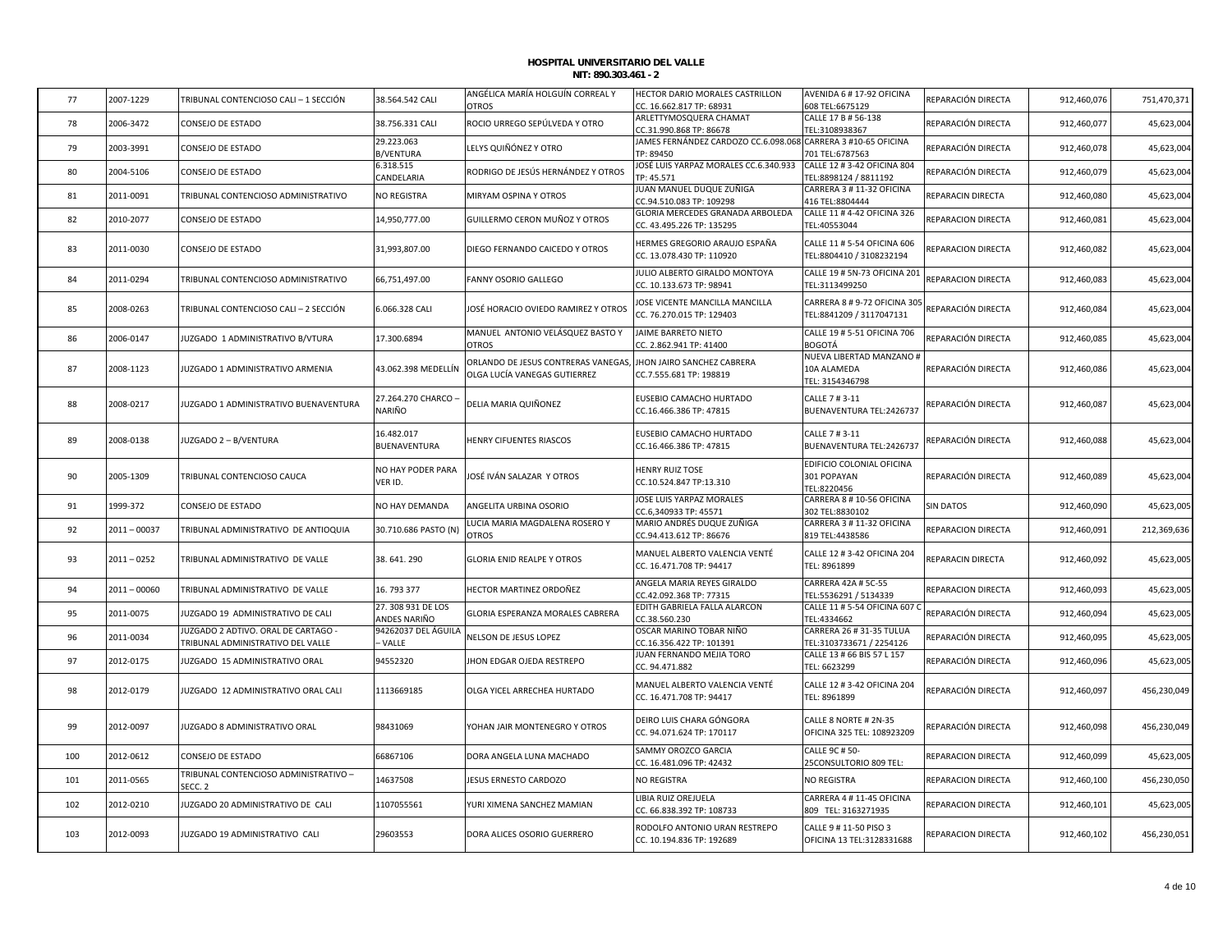| 77  | 2007-1229      | TRIBUNAL CONTENCIOSO CALI - 1 SECCIÓN                                    | 38.564.542 CALI                   | ANGÉLICA MARÍA HOLGUÍN CORREAL Y<br>OTROS                           | HECTOR DARIO MORALES CASTRILLON<br>CC. 16.662.817 TP: 68931                              | AVENIDA 6 # 17-92 OFICINA<br>608 TEL:6675129                            | REPARACIÓN DIRECTA | 912,460,076 | 751,470,371 |
|-----|----------------|--------------------------------------------------------------------------|-----------------------------------|---------------------------------------------------------------------|------------------------------------------------------------------------------------------|-------------------------------------------------------------------------|--------------------|-------------|-------------|
| 78  | 2006-3472      | CONSEJO DE ESTADO                                                        | 38.756.331 CALI                   | ROCIO URREGO SEPÚLVEDA Y OTRO                                       | ARLETTYMOSQUERA CHAMAT                                                                   | CALLE 17 B # 56-138                                                     | REPARACIÓN DIRECTA | 912,460,077 | 45,623,004  |
| 79  | 2003-3991      | CONSEJO DE ESTADO                                                        | 29.223.063                        | LELYS QUIÑÓNEZ Y OTRO                                               | CC.31.990.868 TP: 86678<br>JAMES FERNÁNDEZ CARDOZO CC.6.098.068 CARRERA 3 #10-65 OFICINA | TEL:3108938367                                                          | REPARACIÓN DIRECTA | 912,460,078 | 45,623,004  |
|     |                |                                                                          | <b>B/VENTURA</b><br>6.318.515     |                                                                     | TP: 89450<br>JOSÉ LUIS YARPAZ MORALES CC.6.340.933                                       | 701 TEL:6787563<br>CALLE 12 # 3-42 OFICINA 804                          |                    |             |             |
| 80  | 2004-5106      | CONSEJO DE ESTADO                                                        | CANDELARIA                        | RODRIGO DE JESÚS HERNÁNDEZ Y OTROS                                  | TP: 45.571                                                                               | FEL:8898124 / 8811192                                                   | REPARACIÓN DIRECTA | 912,460,079 | 45,623,004  |
| 81  | 2011-0091      | TRIBUNAL CONTENCIOSO ADMINISTRATIVO                                      | NO REGISTRA                       | MIRYAM OSPINA Y OTROS                                               | JUAN MANUEL DUQUE ZUÑIGA<br>CC.94.510.083 TP: 109298                                     | CARRERA 3 # 11-32 OFICINA<br>416 TEL:8804444                            | REPARACIN DIRECTA  | 912,460,080 | 45,623,004  |
| 82  | 2010-2077      | CONSEJO DE ESTADO                                                        | 14,950,777.00                     | GUILLERMO CERON MUÑOZ Y OTROS                                       | GLORIA MERCEDES GRANADA ARBOLEDA                                                         | CALLE 11 # 4-42 OFICINA 326                                             | REPARACION DIRECTA | 912,460,081 | 45,623,004  |
| 83  | 2011-0030      | CONSEJO DE ESTADO                                                        | 31,993,807.00                     | DIEGO FERNANDO CAICEDO Y OTROS                                      | CC. 43.495.226 TP: 135295<br>HERMES GREGORIO ARAUJO ESPAÑA<br>CC. 13.078.430 TP: 110920  | TEL:40553044<br>CALLE 11 # 5-54 OFICINA 606<br>TEL:8804410 / 3108232194 | REPARACION DIRECTA | 912,460,082 | 45,623,004  |
| 84  | 2011-0294      | TRIBUNAL CONTENCIOSO ADMINISTRATIVO                                      | 66,751,497.00                     | FANNY OSORIO GALLEGO                                                | JULIO ALBERTO GIRALDO MONTOYA<br>CC. 10.133.673 TP: 98941                                | CALLE 19 # 5N-73 OFICINA 201<br>TEL:3113499250                          | REPARACION DIRECTA | 912,460,083 | 45,623,004  |
| 85  | 2008-0263      | TRIBUNAL CONTENCIOSO CALI - 2 SECCIÓN                                    | 6.066.328 CALI                    | JOSÉ HORACIO OVIEDO RAMIREZ Y OTROS                                 | JOSE VICENTE MANCILLA MANCILLA<br>CC. 76.270.015 TP: 129403                              | CARRERA 8 # 9-72 OFICINA 305<br>TEL:8841209 / 3117047131                | REPARACIÓN DIRECTA | 912,460,084 | 45,623,004  |
| 86  | 2006-0147      | JUZGADO 1 ADMINISTRATIVO B/VTURA                                         | 17.300.6894                       | MANUEL ANTONIO VELÁSQUEZ BASTO Y<br><b>OTROS</b>                    | JAIME BARRETO NIETO<br>CC. 2.862.941 TP: 41400                                           | CALLE 19 # 5-51 OFICINA 706<br><b>BOGOTÁ</b>                            | REPARACIÓN DIRECTA | 912,460,085 | 45,623,004  |
| 87  | 2008-1123      | JUZGADO 1 ADMINISTRATIVO ARMENIA                                         | 43.062.398 MEDELLÍN               | ORLANDO DE JESUS CONTRERAS VANEGAS,<br>OLGA LUCÍA VANEGAS GUTIERREZ | JHON JAIRO SANCHEZ CABRERA<br>CC.7.555.681 TP: 198819                                    | NUEVA LIBERTAD MANZANO #<br>10A ALAMEDA<br>TEL: 3154346798              | REPARACIÓN DIRECTA | 912,460,086 | 45,623,004  |
| 88  | 2008-0217      | JUZGADO 1 ADMINISTRATIVO BUENAVENTURA                                    | 27.264.270 CHARCO -<br>NARIÑO     | DELIA MARIA QUIÑONEZ                                                | EUSEBIO CAMACHO HURTADO<br>CC.16.466.386 TP: 47815                                       | CALLE 7 # 3-11<br>BUENAVENTURA TEL:2426737                              | REPARACIÓN DIRECTA | 912,460,087 | 45,623,004  |
| 89  | 2008-0138      | JUZGADO 2 - B/VENTURA                                                    | 16.482.017<br>BUENAVENTURA        | HENRY CIFUENTES RIASCOS                                             | EUSEBIO CAMACHO HURTADO<br>CC.16.466.386 TP: 47815                                       | CALLE 7 # 3-11<br>BUENAVENTURA TEL:2426737                              | REPARACIÓN DIRECTA | 912,460,088 | 45,623,004  |
| 90  | 2005-1309      | TRIBUNAL CONTENCIOSO CAUCA                                               | NO HAY PODER PARA<br>VER ID.      | JOSÉ IVÁN SALAZAR Y OTROS                                           | <b>HENRY RUIZ TOSE</b><br>CC.10.524.847 TP:13.310                                        | EDIFICIO COLONIAL OFICINA<br>301 POPAYAN<br>TEL:8220456                 | REPARACIÓN DIRECTA | 912,460,089 | 45,623,004  |
| 91  | 1999-372       | CONSEJO DE ESTADO                                                        | NO HAY DEMANDA                    | ANGELITA URBINA OSORIO                                              | JOSE LUIS YARPAZ MORALES<br>CC.6,340933 TP: 45571                                        | CARRERA 8 # 10-56 OFICINA<br>302 TEL:8830102                            | <b>SIN DATOS</b>   | 912,460,090 | 45,623,005  |
| 92  | $2011 - 00037$ | TRIBUNAL ADMINISTRATIVO DE ANTIOQUIA                                     | 30.710.686 PASTO (N)              | LUCIA MARIA MAGDALENA ROSERO Y<br>OTROS                             | MARIO ANDRÉS DUQUE ZUÑIGA<br>CC.94.413.612 TP: 86676                                     | CARRERA 3 # 11-32 OFICINA<br>819 TEL:4438586                            | REPARACION DIRECTA | 912,460,091 | 212,369,636 |
| 93  | $2011 - 0252$  | TRIBUNAL ADMINISTRATIVO DE VALLE                                         | 38.641.290                        | <b>GLORIA ENID REALPE Y OTROS</b>                                   | MANUEL ALBERTO VALENCIA VENTÉ<br>CC. 16.471.708 TP: 94417                                | CALLE 12 # 3-42 OFICINA 204<br>TEL: 8961899                             | REPARACIN DIRECTA  | 912,460,092 | 45,623,005  |
| 94  | $2011 - 00060$ | TRIBUNAL ADMINISTRATIVO DE VALLE                                         | 16.793377                         | HECTOR MARTINEZ ORDOÑEZ                                             | ANGELA MARIA REYES GIRALDO<br>CC.42.092.368 TP: 77315                                    | CARRERA 42A # 5C-55<br>TEL:5536291 / 5134339                            | REPARACION DIRECTA | 912,460,093 | 45,623,005  |
| 95  | 2011-0075      | JUZGADO 19 ADMINISTRATIVO DE CALI                                        | 27.308 931 DE LOS<br>ANDES NARIÑO | GLORIA ESPERANZA MORALES CABRERA                                    | EDITH GABRIELA FALLA ALARCON<br>CC.38.560.230                                            | CALLE 11 # 5-54 OFICINA 607<br>FEL:4334662                              | REPARACIÓN DIRECTA | 912,460,094 | 45,623,005  |
| 96  | 2011-0034      | JUZGADO 2 ADTIVO. ORAL DE CARTAGO -<br>TRIBUNAL ADMINISTRATIVO DEL VALLE | 94262037 DEL ÁGUILA<br>- VALLE    | NELSON DE JESUS LOPEZ                                               | OSCAR MARINO TOBAR NIÑO<br>CC.16.356.422 TP: 101391                                      | CARRERA 26 # 31-35 TULUA<br>TEL:3103733671 / 2254126                    | REPARACIÓN DIRECTA | 912,460,095 | 45,623,005  |
| 97  | 2012-0175      | JUZGADO 15 ADMINISTRATIVO ORAL                                           | 94552320                          | JHON EDGAR OJEDA RESTREPO                                           | JUAN FERNANDO MEJIA TORO<br>CC. 94.471.882                                               | CALLE 13 # 66 BIS 57 L 157<br>TEL: 6623299                              | REPARACIÓN DIRECTA | 912,460,096 | 45,623,005  |
| 98  | 2012-0179      | JUZGADO 12 ADMINISTRATIVO ORAL CALI                                      | 1113669185                        | OLGA YICEL ARRECHEA HURTADO                                         | MANUEL ALBERTO VALENCIA VENTÉ<br>CC. 16.471.708 TP: 94417                                | CALLE 12 # 3-42 OFICINA 204<br>TEL: 8961899                             | REPARACIÓN DIRECTA | 912,460,097 | 456,230,049 |
| 99  | 2012-0097      | JUZGADO 8 ADMINISTRATIVO ORAL                                            | 98431069                          | YOHAN JAIR MONTENEGRO Y OTROS                                       | DEIRO LUIS CHARA GÓNGORA<br>CC. 94.071.624 TP: 170117                                    | CALLE 8 NORTE # 2N-35<br>OFICINA 325 TEL: 108923209                     | REPARACIÓN DIRECTA | 912,460,098 | 456,230,049 |
| 100 | 2012-0612      | CONSEJO DE ESTADO                                                        | 66867106                          | DORA ANGELA LUNA MACHADO                                            | SAMMY OROZCO GARCIA<br>CC. 16.481.096 TP: 42432                                          | CALLE 9C # 50-<br>25CONSULTORIO 809 TEL:                                | REPARACION DIRECTA | 912,460,099 | 45,623,005  |
| 101 | 2011-0565      | TRIBUNAL CONTENCIOSO ADMINISTRATIVO -<br>SECC. 2                         | 14637508                          | JESUS ERNESTO CARDOZO                                               | NO REGISTRA                                                                              | NO REGISTRA                                                             | REPARACION DIRECTA | 912,460,100 | 456,230,050 |
| 102 | 2012-0210      | IUZGADO 20 ADMINISTRATIVO DE CALI                                        | 1107055561                        | YURI XIMENA SANCHEZ MAMIAN                                          | LIBIA RUIZ OREJUELA<br>CC. 66.838.392 TP: 108733                                         | CARRERA 4 # 11-45 OFICINA<br>809 TEL: 3163271935                        | REPARACION DIRECTA | 912,460,101 | 45,623,005  |
| 103 | 2012-0093      | JUZGADO 19 ADMINISTRATIVO CALI                                           | 29603553                          | DORA ALICES OSORIO GUERRERO                                         | RODOLFO ANTONIO URAN RESTREPO<br>CC. 10.194.836 TP: 192689                               | CALLE 9 # 11-50 PISO 3<br>OFICINA 13 TEL:3128331688                     | REPARACION DIRECTA | 912,460,102 | 456,230,051 |
|     |                |                                                                          |                                   |                                                                     |                                                                                          |                                                                         |                    |             |             |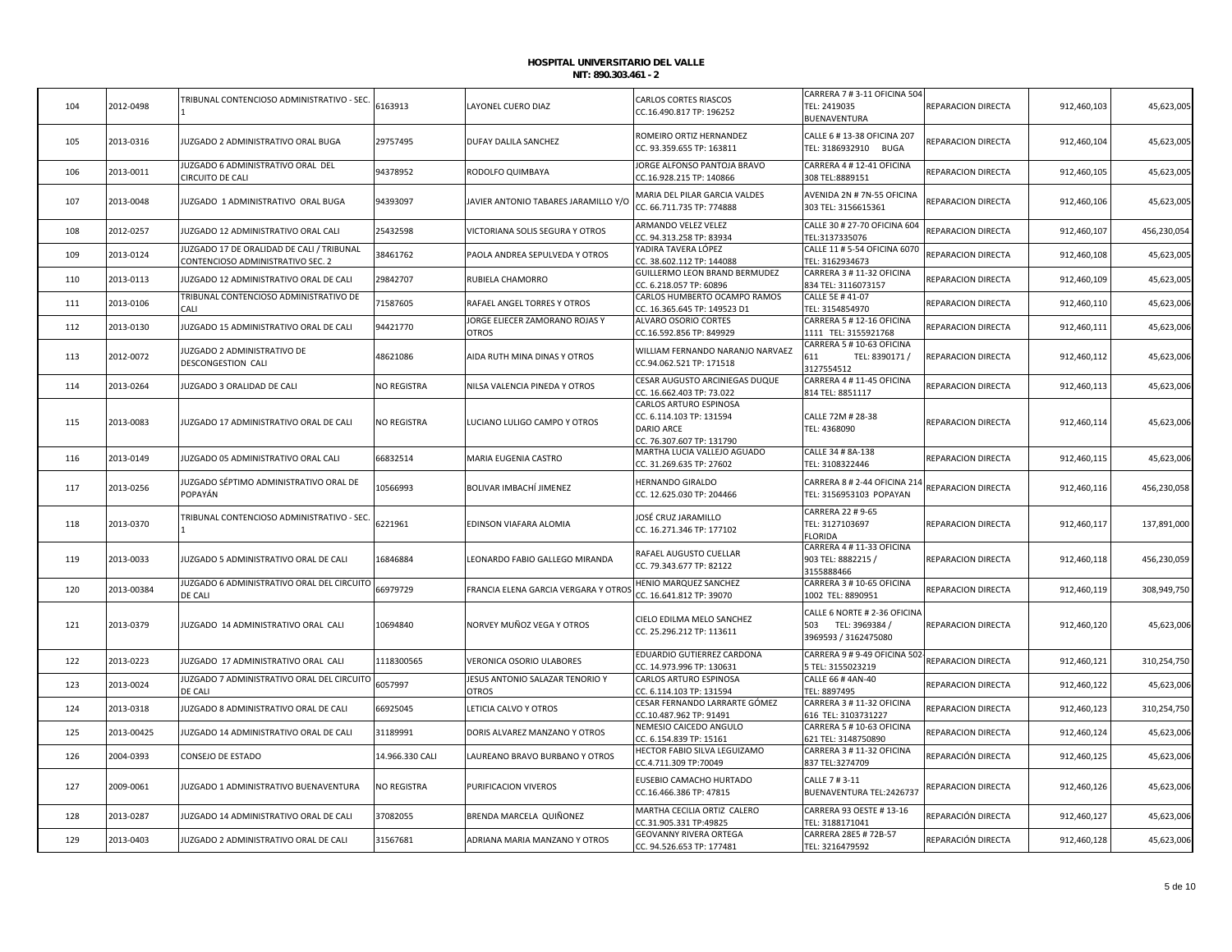| 104 | 2012-0498  | TRIBUNAL CONTENCIOSO ADMINISTRATIVO - SEC.                                     | 6163913            | LAYONEL CUERO DIAZ                              | <b>CARLOS CORTES RIASCOS</b><br>CC.16.490.817 TP: 196252                                             | CARRERA 7 # 3-11 OFICINA 504<br>TEL: 2419035<br>BUENAVENTURA               | REPARACION DIRECTA | 912,460,103 | 45,623,005  |
|-----|------------|--------------------------------------------------------------------------------|--------------------|-------------------------------------------------|------------------------------------------------------------------------------------------------------|----------------------------------------------------------------------------|--------------------|-------------|-------------|
| 105 | 2013-0316  | IUZGADO 2 ADMINISTRATIVO ORAL BUGA                                             | 29757495           | DUFAY DALILA SANCHEZ                            | ROMEIRO ORTIZ HERNANDEZ<br>CC. 93.359.655 TP: 163811                                                 | CALLE 6 # 13-38 OFICINA 207<br>TEL: 3186932910 BUGA                        | REPARACION DIRECTA | 912,460,104 | 45,623,005  |
| 106 | 2013-0011  | JUZGADO 6 ADMINISTRATIVO ORAL DEL<br>CIRCUITO DE CALI                          | 94378952           | RODOLFO QUIMBAYA                                | JORGE ALFONSO PANTOJA BRAVO<br>CC.16.928.215 TP: 140866                                              | CARRERA 4 # 12-41 OFICINA<br>308 TEL:8889151                               | REPARACION DIRECTA | 912,460,105 | 45,623,005  |
| 107 | 2013-0048  | IUZGADO 1 ADMINISTRATIVO ORAL BUGA                                             | 94393097           | JAVIER ANTONIO TABARES JARAMILLO Y/O            | MARIA DEL PILAR GARCIA VALDES<br>CC. 66.711.735 TP: 774888                                           | AVENIDA 2N # 7N-55 OFICINA<br>303 TEL: 3156615361                          | REPARACION DIRECTA | 912,460,106 | 45,623,005  |
| 108 | 2012-0257  | UZGADO 12 ADMINISTRATIVO ORAL CALI                                             | 25432598           | VICTORIANA SOLIS SEGURA Y OTROS                 | ARMANDO VELEZ VELEZ<br>CC. 94.313.258 TP: 83934                                                      | CALLE 30 # 27-70 OFICINA 604<br>TEL:3137335076                             | REPARACION DIRECTA | 912,460,107 | 456,230,054 |
| 109 | 2013-0124  | JUZGADO 17 DE ORALIDAD DE CALI / TRIBUNAL<br>CONTENCIOSO ADMINISTRATIVO SEC. 2 | 38461762           | PAOLA ANDREA SEPULVEDA Y OTROS                  | YADIRA TAVERA LÓPEZ<br>CC. 38.602.112 TP: 144088                                                     | CALLE 11 # 5-54 OFICINA 6070<br>TEL: 3162934673                            | REPARACION DIRECTA | 912,460,108 | 45,623,005  |
| 110 | 2013-0113  | IUZGADO 12 ADMINISTRATIVO ORAL DE CALI                                         | 29842707           | RUBIELA CHAMORRO                                | GUILLERMO LEON BRAND BERMUDEZ<br>CC. 6.218.057 TP: 60896                                             | CARRERA 3 # 11-32 OFICINA<br>834 TEL: 3116073157                           | REPARACION DIRECTA | 912,460,109 | 45,623,005  |
| 111 | 2013-0106  | TRIBUNAL CONTENCIOSO ADMINISTRATIVO DE<br>CALI                                 | 71587605           | RAFAEL ANGEL TORRES Y OTROS                     | CARLOS HUMBERTO OCAMPO RAMOS<br>CC. 16.365.645 TP: 149523 D1                                         | CALLE 5E #41-07<br>TEL: 3154854970                                         | REPARACION DIRECTA | 912,460,110 | 45,623,006  |
| 112 | 2013-0130  | IUZGADO 15 ADMINISTRATIVO ORAL DE CALI                                         | 94421770           | JORGE ELIECER ZAMORANO ROJAS Y<br><b>OTROS</b>  | ALVARO OSORIO CORTES<br>CC.16.592.856 TP: 849929                                                     | CARRERA 5 #12-16 OFICINA<br>1111 TEL: 3155921768                           | REPARACION DIRECTA | 912,460,111 | 45,623,006  |
| 113 | 2012-0072  | UZGADO 2 ADMINISTRATIVO DE<br>DESCONGESTION CALI                               | 48621086           | AIDA RUTH MINA DINAS Y OTROS                    | WILLIAM FERNANDO NARANJO NARVAEZ<br>CC.94.062.521 TP: 171518                                         | CARRERA 5 # 10-63 OFICINA<br>TEL: 8390171 /<br>611<br>3127554512           | REPARACION DIRECTA | 912,460,112 | 45,623,006  |
| 114 | 2013-0264  | UZGADO 3 ORALIDAD DE CALI                                                      | <b>VO REGISTRA</b> | NILSA VALENCIA PINEDA Y OTROS                   | CESAR AUGUSTO ARCINIEGAS DUQUE<br>CC. 16.662.403 TP: 73.022                                          | CARRERA 4 # 11-45 OFICINA<br>814 TEL: 8851117                              | REPARACION DIRECTA | 912,460,113 | 45,623,006  |
| 115 | 2013-0083  | IUZGADO 17 ADMINISTRATIVO ORAL DE CALI                                         | NO REGISTRA        | LUCIANO LULIGO CAMPO Y OTROS                    | CARLOS ARTURO ESPINOSA<br>CC. 6.114.103 TP: 131594<br><b>DARIO ARCE</b><br>CC. 76.307.607 TP: 131790 | CALLE 72M # 28-38<br>TEL: 4368090                                          | REPARACION DIRECTA | 912,460,114 | 45,623,006  |
| 116 | 2013-0149  | UZGADO 05 ADMINISTRATIVO ORAL CALI                                             | 66832514           | MARIA EUGENIA CASTRO                            | MARTHA LUCIA VALLEJO AGUADO<br>CC. 31.269.635 TP: 27602                                              | CALLE 34 # 8A-138<br>TEL: 3108322446                                       | REPARACION DIRECTA | 912,460,115 | 45,623,006  |
| 117 | 2013-0256  | UZGADO SÉPTIMO ADMINISTRATIVO ORAL DE<br>POPAYÁN                               | 10566993           | BOLIVAR IMBACHÍ JIMENEZ                         | HERNANDO GIRALDO<br>CC. 12.625.030 TP: 204466                                                        | CARRERA 8 # 2-44 OFICINA 214<br>TEL: 3156953103 POPAYAN                    | REPARACION DIRECTA | 912,460,116 | 456,230,058 |
| 118 | 2013-0370  | <b>FRIBUNAL CONTENCIOSO ADMINISTRATIVO - SEC</b>                               | 6221961            | EDINSON VIAFARA ALOMIA                          | JOSÉ CRUZ JARAMILLO<br>CC. 16.271.346 TP: 177102                                                     | CARRERA 22 # 9-65<br>TEL: 3127103697<br>FLORIDA                            | REPARACION DIRECTA | 912,460,117 | 137,891,000 |
| 119 | 2013-0033  | IUZGADO 5 ADMINISTRATIVO ORAL DE CALI                                          | 16846884           | LEONARDO FABIO GALLEGO MIRANDA                  | RAFAEL AUGUSTO CUELLAR<br>CC. 79.343.677 TP: 82122                                                   | CARRERA 4 # 11-33 OFICINA<br>903 TEL: 8882215 /<br>3155888466              | REPARACION DIRECTA | 912,460,118 | 456,230,059 |
| 120 | 2013-00384 | IUZGADO 6 ADMINISTRATIVO ORAL DEL CIRCUITO<br>DE CALI                          | 66979729           | FRANCIA ELENA GARCIA VERGARA Y OTROS            | HENIO MARQUEZ SANCHEZ<br>CC. 16.641.812 TP: 39070                                                    | CARRERA 3 # 10-65 OFICINA<br>1002 TEL: 8890951                             | REPARACION DIRECTA | 912,460,119 | 308,949,750 |
| 121 | 2013-0379  | IUZGADO 14 ADMINISTRATIVO ORAL CALI                                            | 10694840           | NORVEY MUÑOZ VEGA Y OTROS                       | CIELO EDILMA MELO SANCHEZ<br>CC. 25.296.212 TP: 113611                                               | CALLE 6 NORTE # 2-36 OFICINA<br>503 TEL: 3969384 /<br>3969593 / 3162475080 | REPARACION DIRECTA | 912,460,120 | 45,623,006  |
| 122 | 2013-0223  | IUZGADO 17 ADMINISTRATIVO ORAL CALI                                            | 1118300565         | VERONICA OSORIO ULABORES                        | EDUARDIO GUTIERREZ CARDONA<br>CC. 14.973.996 TP: 130631                                              | CARRERA 9 # 9-49 OFICINA 502<br>TEL: 3155023219                            | REPARACION DIRECTA | 912,460,121 | 310,254,750 |
| 123 | 2013-0024  | JUZGADO 7 ADMINISTRATIVO ORAL DEL CIRCUITO<br>de Cali                          | 6057997            | JESUS ANTONIO SALAZAR TENORIO Y<br><b>OTROS</b> | CARLOS ARTURO ESPINOSA<br>CC. 6.114.103 TP: 131594                                                   | CALLE 66 #4AN-40<br>TEL: 8897495                                           | REPARACION DIRECTA | 912,460,122 | 45,623,006  |
| 124 | 2013-0318  | IUZGADO 8 ADMINISTRATIVO ORAL DE CALI                                          | 66925045           | LETICIA CALVO Y OTROS                           | CESAR FERNANDO LARRARTE GÓMEZ<br>CC.10.487.962 TP: 91491                                             | CARRERA 3 # 11-32 OFICINA<br>616 TEL: 3103731227                           | REPARACION DIRECTA | 912,460,123 | 310,254,750 |
| 125 | 2013-00425 | UZGADO 14 ADMINISTRATIVO ORAL DE CALI                                          | 31189991           | DORIS ALVAREZ MANZANO Y OTROS                   | NEMESIO CAICEDO ANGULO<br>CC. 6.154.839 TP: 15161                                                    | CARRERA 5 # 10-63 OFICINA<br>621 TEL: 3148750890                           | REPARACION DIRECTA | 912,460,124 | 45,623,006  |
| 126 | 2004-0393  | CONSEJO DE ESTADO                                                              | 14.966.330 CALI    | LAUREANO BRAVO BURBANO Y OTROS                  | HECTOR FABIO SILVA LEGUIZAMO<br>CC.4.711.309 TP:70049                                                | CARRERA 3 # 11-32 OFICINA<br>837 TEL:3274709                               | REPARACIÓN DIRECTA | 912,460,125 | 45,623,006  |
| 127 | 2009-0061  | UZGADO 1 ADMINISTRATIVO BUENAVENTURA                                           | NO REGISTRA        | PURIFICACION VIVEROS                            | EUSEBIO CAMACHO HURTADO<br>CC.16.466.386 TP: 47815                                                   | CALLE 7 # 3-11<br>BUENAVENTURA TEL:2426737                                 | REPARACION DIRECTA | 912,460,126 | 45,623,006  |
| 128 | 2013-0287  | UZGADO 14 ADMINISTRATIVO ORAL DE CALI                                          | 37082055           | BRENDA MARCELA QUIÑONEZ                         | MARTHA CECILIA ORTIZ CALERO<br>CC.31.905.331 TP:49825                                                | CARRERA 93 OESTE #13-16<br>TEL: 3188171041                                 | REPARACIÓN DIRECTA | 912,460,127 | 45,623,006  |
| 129 | 2013-0403  | IUZGADO 2 ADMINISTRATIVO ORAL DE CALI                                          | 31567681           | ADRIANA MARIA MANZANO Y OTROS                   | <b>GEOVANNY RIVERA ORTEGA</b><br>CC. 94.526.653 TP: 177481                                           | CARRERA 28E5 # 72B-57<br>TEL: 3216479592                                   | REPARACIÓN DIRECTA | 912,460,128 | 45,623,006  |
|     |            |                                                                                |                    |                                                 |                                                                                                      |                                                                            |                    |             |             |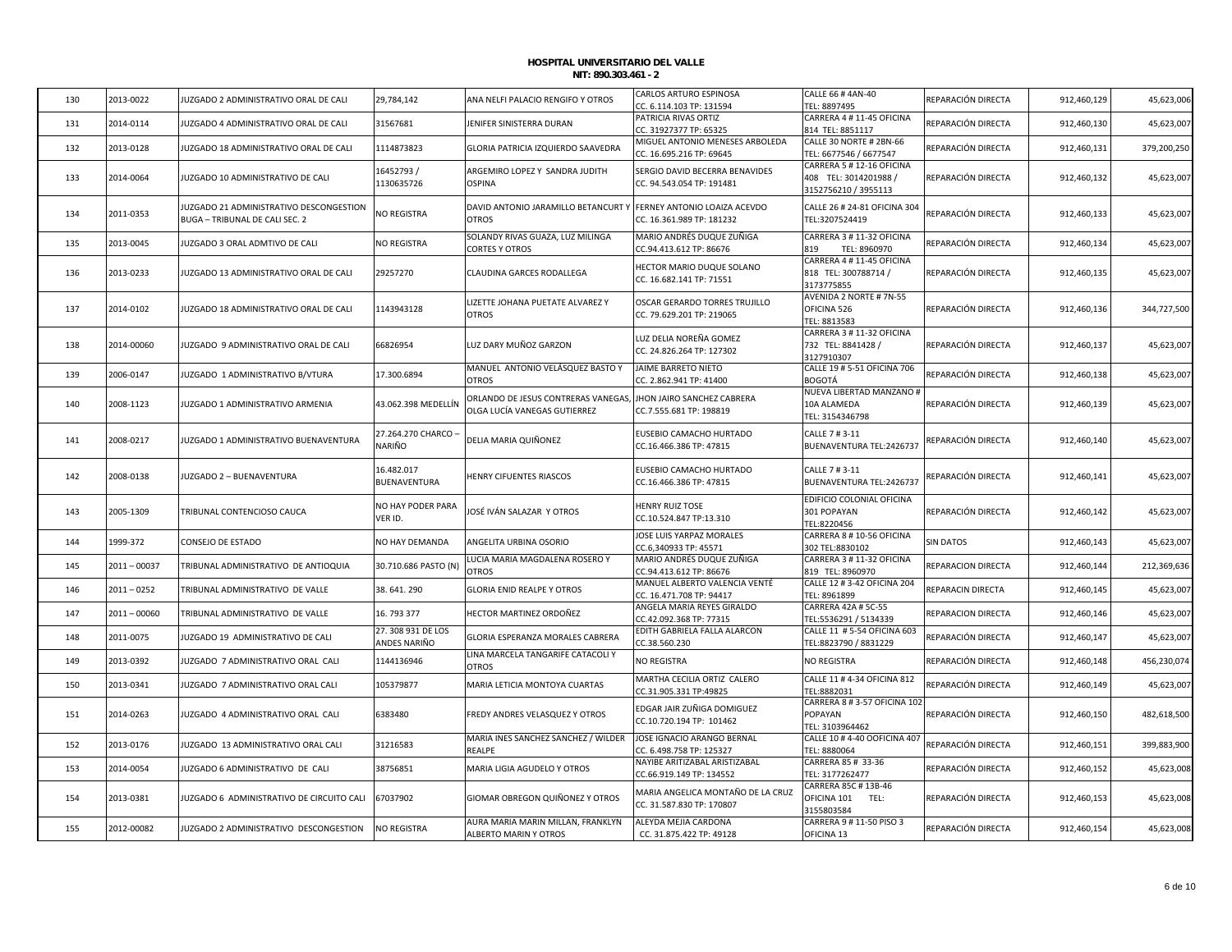| 2013-0022<br>130<br>2014-0114<br>131<br>132<br>2013-0128<br>133<br>2014-0064 |                | JUZGADO 2 ADMINISTRATIVO ORAL DE CALI<br>JUZGADO 4 ADMINISTRATIVO ORAL DE CALI | 29,784,142<br>31567681            | ANA NELFI PALACIO RENGIFO Y OTROS<br>JENIFER SINISTERRA DURAN       | CARLOS ARTURO ESPINOSA<br>CC. 6.114.103 TP: 131594<br>PATRICIA RIVAS ORTIZ | CALLE 66 # 4AN-40<br>TEL: 8897495<br>CARRERA 4 # 11-45 OFICINA             | REPARACIÓN DIRECTA | 912,460,129 | 45,623,006  |
|------------------------------------------------------------------------------|----------------|--------------------------------------------------------------------------------|-----------------------------------|---------------------------------------------------------------------|----------------------------------------------------------------------------|----------------------------------------------------------------------------|--------------------|-------------|-------------|
|                                                                              |                |                                                                                |                                   |                                                                     |                                                                            |                                                                            |                    |             |             |
|                                                                              |                |                                                                                |                                   |                                                                     | CC. 31927377 TP: 65325                                                     | 814 TEL: 8851117                                                           | REPARACIÓN DIRECTA | 912,460,130 | 45,623,007  |
|                                                                              |                | JUZGADO 18 ADMINISTRATIVO ORAL DE CALI                                         | 1114873823                        | GLORIA PATRICIA IZQUIERDO SAAVEDRA                                  | MIGUEL ANTONIO MENESES ARBOLEDA<br>CC. 16.695.216 TP: 69645                | CALLE 30 NORTE # 2BN-66<br>TEL: 6677546 / 6677547                          | REPARACIÓN DIRECTA | 912,460,131 | 379,200,250 |
|                                                                              |                | JUZGADO 10 ADMINISTRATIVO DE CALI                                              | 16452793/<br>1130635726           | ARGEMIRO LOPEZ Y SANDRA JUDITH<br><b>OSPINA</b>                     | SERGIO DAVID BECERRA BENAVIDES<br>CC. 94.543.054 TP: 191481                | CARRERA 5 # 12-16 OFICINA<br>408 TEL: 3014201988 /<br>3152756210 / 3955113 | REPARACIÓN DIRECTA | 912,460,132 | 45,623,007  |
| 2011-0353<br>134                                                             |                | IUZGADO 21 ADMINISTRATIVO DESCONGESTION<br>BUGA - TRIBUNAL DE CALI SEC. 2      | NO REGISTRA                       | DAVID ANTONIO JARAMILLO BETANCURT Y<br><b>OTROS</b>                 | FERNEY ANTONIO LOAIZA ACEVDO<br>CC. 16.361.989 TP: 181232                  | CALLE 26 # 24-81 OFICINA 304<br>TEL:3207524419                             | REPARACIÓN DIRECTA | 912,460,133 | 45,623,007  |
| 135<br>2013-0045                                                             |                | JUZGADO 3 ORAL ADMTIVO DE CALI                                                 | <b>NO REGISTRA</b>                | SOLANDY RIVAS GUAZA, LUZ MILINGA<br><b>CORTES Y OTROS</b>           | MARIO ANDRÉS DUQUE ZUÑIGA<br>CC.94.413.612 TP: 86676                       | CARRERA 3 # 11-32 OFICINA<br>TEL: 8960970<br>819                           | REPARACIÓN DIRECTA | 912,460,134 | 45,623,007  |
| 2013-0233<br>136                                                             |                | JUZGADO 13 ADMINISTRATIVO ORAL DE CALI                                         | 29257270                          | CLAUDINA GARCES RODALLEGA                                           | HECTOR MARIO DUQUE SOLANO<br>CC. 16.682.141 TP: 71551                      | CARRERA 4 # 11-45 OFICINA<br>818 TEL: 300788714 /<br>3173775855            | REPARACIÓN DIRECTA | 912,460,135 | 45,623,007  |
| 137<br>2014-0102                                                             |                | JUZGADO 18 ADMINISTRATIVO ORAL DE CALI                                         | 1143943128                        | IZETTE JOHANA PUETATE ALVAREZ Y<br><b>OTROS</b>                     | OSCAR GERARDO TORRES TRUJILLO<br>CC. 79.629.201 TP: 219065                 | AVENIDA 2 NORTE # 7N-55<br>OFICINA 526<br>TEL: 8813583                     | REPARACIÓN DIRECTA | 912,460,136 | 344,727,500 |
| 138                                                                          | 2014-00060     | JUZGADO 9 ADMINISTRATIVO ORAL DE CALI                                          | 66826954                          | LUZ DARY MUÑOZ GARZON                                               | LUZ DELIA NOREÑA GOMEZ<br>CC. 24.826.264 TP: 127302                        | CARRERA 3 # 11-32 OFICINA<br>732 TEL: 8841428 /<br>3127910307              | REPARACIÓN DIRECTA | 912,460,137 | 45,623,007  |
| 139<br>2006-0147                                                             |                | JUZGADO 1 ADMINISTRATIVO B/VTURA                                               | 17.300.6894                       | MANUEL ANTONIO VELÁSQUEZ BASTO Y<br><b>OTROS</b>                    | JAIME BARRETO NIETO<br>CC. 2.862.941 TP: 41400                             | CALLE 19 # 5-51 OFICINA 706<br><b>BOGOTÁ</b>                               | REPARACIÓN DIRECTA | 912,460,138 | 45,623,007  |
| 140<br>2008-1123                                                             |                | IUZGADO 1 ADMINISTRATIVO ARMENIA                                               | 43.062.398 MEDELLÍN               | ORLANDO DE JESUS CONTRERAS VANEGAS,<br>OLGA LUCÍA VANEGAS GUTIERREZ | JHON JAIRO SANCHEZ CABRERA<br>CC.7.555.681 TP: 198819                      | NUEVA LIBERTAD MANZANO #<br>10A ALAMEDA<br>TEL: 3154346798                 | REPARACIÓN DIRECTA | 912,460,139 | 45,623,007  |
| 2008-0217<br>141                                                             |                | JUZGADO 1 ADMINISTRATIVO BUENAVENTURA                                          | 27.264.270 CHARCO -<br>NARIÑO     | DELIA MARIA QUIÑONEZ                                                | EUSEBIO CAMACHO HURTADO<br>CC.16.466.386 TP: 47815                         | CALLE 7 # 3-11<br>BUENAVENTURA TEL:2426737                                 | REPARACIÓN DIRECTA | 912,460,140 | 45,623,007  |
| 2008-0138<br>142                                                             |                | JUZGADO 2 - BUENAVENTURA                                                       | 16.482.017<br>BUENAVENTURA        | HENRY CIFUENTES RIASCOS                                             | EUSEBIO CAMACHO HURTADO<br>CC.16.466.386 TP: 47815                         | CALLE 7 # 3-11<br>BUENAVENTURA TEL:2426737                                 | REPARACIÓN DIRECTA | 912,460,141 | 45,623,007  |
| 143<br>2005-1309                                                             |                | TRIBUNAL CONTENCIOSO CAUCA                                                     | NO HAY PODER PARA<br>VER ID.      | IOSÉ IVÁN SALAZAR Y OTROS                                           | HENRY RUIZ TOSE<br>CC.10.524.847 TP:13.310                                 | EDIFICIO COLONIAL OFICINA<br>301 POPAYAN<br>TEL:8220456                    | REPARACIÓN DIRECTA | 912,460,142 | 45,623,007  |
| 144<br>1999-372                                                              |                | CONSEJO DE ESTADO                                                              | NO HAY DEMANDA                    | ANGELITA URBINA OSORIO                                              | JOSE LUIS YARPAZ MORALES<br>CC.6,340933 TP: 45571                          | CARRERA 8 # 10-56 OFICINA<br>302 TEL:8830102                               | SIN DATOS          | 912,460,143 | 45,623,007  |
| 145                                                                          | $2011 - 00037$ | TRIBUNAL ADMINISTRATIVO DE ANTIOQUIA                                           | 30.710.686 PASTO (N)              | LUCIA MARIA MAGDALENA ROSERO Y<br>OTROS                             | MARIO ANDRÉS DUQUE ZUÑIGA<br>CC.94.413.612 TP: 86676                       | CARRERA 3 # 11-32 OFICINA<br>819 TEL: 8960970                              | REPARACION DIRECTA | 912,460,144 | 212,369,636 |
| 146                                                                          | $2011 - 0252$  | TRIBUNAL ADMINISTRATIVO DE VALLE                                               | 38.641.290                        | <b>GLORIA ENID REALPE Y OTROS</b>                                   | MANUEL ALBERTO VALENCIA VENTÉ<br>CC. 16.471.708 TP: 94417                  | CALLE 12 # 3-42 OFICINA 204<br>TEL: 8961899                                | REPARACIN DIRECTA  | 912,460,145 | 45,623,007  |
| 147                                                                          | $2011 - 00060$ | TRIBUNAL ADMINISTRATIVO DE VALLE                                               | 16.793377                         | HECTOR MARTINEZ ORDOÑEZ                                             | ANGELA MARIA REYES GIRALDO<br>CC.42.092.368 TP: 77315                      | CARRERA 42A # 5C-55<br>TEL:5536291 / 5134339                               | REPARACION DIRECTA | 912,460,146 | 45,623,007  |
| 148<br>2011-0075                                                             |                | IUZGADO 19 ADMINISTRATIVO DE CALI                                              | 27.308 931 DE LOS<br>ANDES NARIÑO | GLORIA ESPERANZA MORALES CABRERA                                    | EDITH GABRIELA FALLA ALARCON<br>CC.38.560.230                              | CALLE 11 # 5-54 OFICINA 603<br>TEL:8823790 / 8831229                       | REPARACIÓN DIRECTA | 912,460,147 | 45,623,007  |
| 149<br>2013-0392                                                             |                | JUZGADO 7 ADMINISTRATIVO ORAL CALI                                             | 1144136946                        | LINA MARCELA TANGARIFE CATACOLI Y<br>OTROS                          | NO REGISTRA                                                                | NO REGISTRA                                                                | REPARACIÓN DIRECTA | 912,460,148 | 456,230,074 |
| 150<br>2013-0341                                                             |                | UZGADO 7 ADMINISTRATIVO ORAL CALI                                              | 105379877                         | MARIA LETICIA MONTOYA CUARTAS                                       | MARTHA CECILIA ORTIZ CALERO<br>CC.31.905.331 TP:49825                      | CALLE 11 # 4-34 OFICINA 812<br>TEL:8882031                                 | REPARACIÓN DIRECTA | 912,460,149 | 45,623,007  |
| 151<br>2014-0263                                                             |                | JUZGADO 4 ADMINISTRATIVO ORAL CALI                                             | 6383480                           | FREDY ANDRES VELASQUEZ Y OTROS                                      | EDGAR JAIR ZUÑIGA DOMIGUEZ<br>CC.10.720.194 TP: 101462                     | CARRERA 8 # 3-57 OFICINA 102<br>POPAYAN<br>TEL: 3103964462                 | REPARACIÓN DIRECTA | 912,460,150 | 482,618,500 |
| 152<br>2013-0176                                                             |                | <b>IUZGADO 13 ADMINISTRATIVO ORAL CALI</b>                                     | 31216583                          | MARIA INES SANCHEZ SANCHEZ / WILDER<br>REALPE                       | JOSE IGNACIO ARANGO BERNAL<br>CC. 6.498.758 TP: 125327                     | CALLE 10 # 4-40 OOFICINA 407<br>TEL: 8880064                               | REPARACIÓN DIRECTA | 912,460,151 | 399,883,900 |
|                                                                              |                | JUZGADO 6 ADMINISTRATIVO DE CALI                                               | 38756851                          | MARIA LIGIA AGUDELO Y OTROS                                         | NAYIBE ARITIZABAL ARISTIZABAL<br>CC.66.919.149 TP: 134552                  | CARRERA 85 # 33-36<br>FEL: 3177262477                                      | REPARACIÓN DIRECTA | 912,460,152 | 45,623,008  |
| 153<br>2014-0054                                                             |                |                                                                                |                                   |                                                                     |                                                                            | CARRERA 85C # 13B-46                                                       |                    |             |             |
| 2013-0381<br>154                                                             |                | JUZGADO 6 ADMINISTRATIVO DE CIRCUITO CALI                                      | 67037902                          | GIOMAR OBREGON QUIÑONEZ Y OTROS                                     | MARIA ANGELICA MONTAÑO DE LA CRUZ<br>CC. 31.587.830 TP: 170807             | OFICINA 101<br>TEL:<br>3155803584                                          | REPARACIÓN DIRECTA | 912,460,153 | 45,623,008  |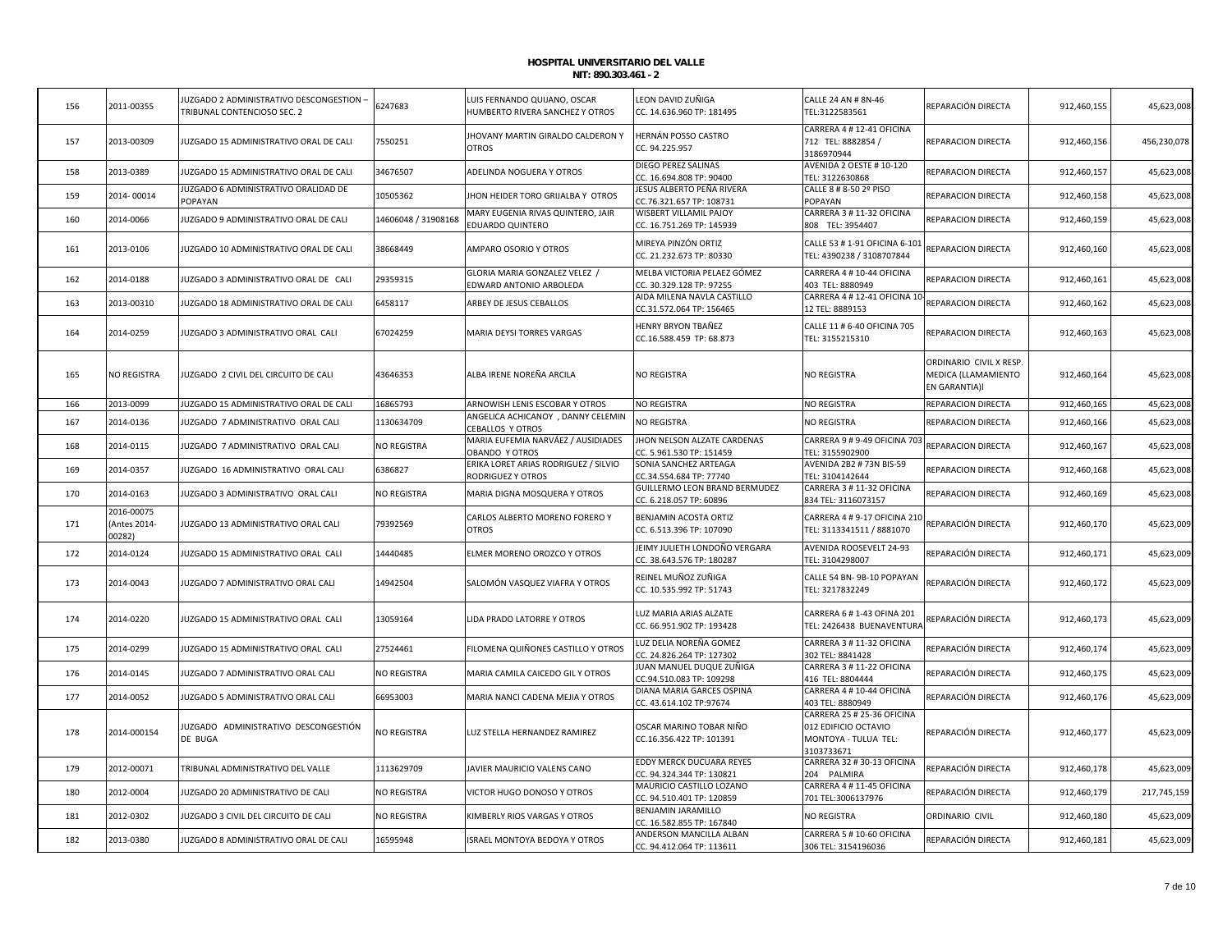| 156 | 2011-00355                           | JUZGADO 2 ADMINISTRATIVO DESCONGESTION -<br>TRIBUNAL CONTENCIOSO SEC. 2 | 5247683             | LUIS FERNANDO QUIJANO, OSCAR<br>HUMBERTO RIVERA SANCHEZ Y OTROS | LEON DAVID ZUÑIGA<br>CC. 14.636.960 TP: 181495             | CALLE 24 AN # 8N-46<br>TEL:3122583561                                                    | REPARACIÓN DIRECTA                                              | 912,460,155 | 45,623,008  |
|-----|--------------------------------------|-------------------------------------------------------------------------|---------------------|-----------------------------------------------------------------|------------------------------------------------------------|------------------------------------------------------------------------------------------|-----------------------------------------------------------------|-------------|-------------|
| 157 | 2013-00309                           | JUZGADO 15 ADMINISTRATIVO ORAL DE CALI                                  | 7550251             | JHOVANY MARTIN GIRALDO CALDERON Y<br><b>OTROS</b>               | HERNÁN POSSO CASTRO<br>CC. 94.225.957                      | CARRERA 4 # 12-41 OFICINA<br>712 TEL: 8882854 /<br>3186970944                            | REPARACION DIRECTA                                              | 912,460,156 | 456,230,078 |
| 158 | 2013-0389                            | JUZGADO 15 ADMINISTRATIVO ORAL DE CALI                                  | 34676507            | ADELINDA NOGUERA Y OTROS                                        | <b>DIEGO PEREZ SALINAS</b><br>CC. 16.694.808 TP: 90400     | AVENIDA 2 OESTE #10-120<br>TEL: 3122630868                                               | REPARACION DIRECTA                                              | 912,460,157 | 45,623,008  |
| 159 | 2014-00014                           | <b>UZGADO 6 ADMINISTRATIVO ORALIDAD DE</b><br>POPAYAN                   | 10505362            | JHON HEIDER TORO GRIJALBA Y OTROS                               | JESUS ALBERTO PEÑA RIVERA<br>CC.76.321.657 TP: 108731      | CALLE 8 # 8-50 2º PISO<br>POPAYAN                                                        | REPARACION DIRECTA                                              | 912,460,158 | 45,623,008  |
| 160 | 2014-0066                            | IUZGADO 9 ADMINISTRATIVO ORAL DE CALI                                   | 14606048 / 31908168 | MARY EUGENIA RIVAS QUINTERO, JAIR<br><b>EDUARDO QUINTERO</b>    | <b>WISBERT VILLAMIL PAJOY</b><br>CC. 16.751.269 TP: 145939 | CARRERA 3 # 11-32 OFICINA<br>808 TEL: 3954407                                            | REPARACION DIRECTA                                              | 912,460,159 | 45,623,008  |
| 161 | 2013-0106                            | JUZGADO 10 ADMINISTRATIVO ORAL DE CALI                                  | 38668449            | AMPARO OSORIO Y OTROS                                           | MIREYA PINZÓN ORTIZ<br>CC. 21.232.673 TP: 80330            | CALLE 53 # 1-91 OFICINA 6-101<br>TEL: 4390238 / 3108707844                               | REPARACION DIRECTA                                              | 912,460,160 | 45,623,008  |
| 162 | 2014-0188                            | JUZGADO 3 ADMINISTRATIVO ORAL DE CALI                                   | 29359315            | GLORIA MARIA GONZALEZ VELEZ /<br>EDWARD ANTONIO ARBOLEDA        | MELBA VICTORIA PELAEZ GÓMEZ<br>CC. 30.329.128 TP: 97255    | CARRERA 4 # 10-44 OFICINA<br>403 TEL: 8880949                                            | REPARACION DIRECTA                                              | 912,460,161 | 45,623,008  |
| 163 | 2013-00310                           | JUZGADO 18 ADMINISTRATIVO ORAL DE CALI                                  | 5458117             | ARBEY DE JESUS CEBALLOS                                         | AIDA MILENA NAVLA CASTILLO<br>CC.31.572.064 TP: 156465     | CARRERA 4 # 12-41 OFICINA 10<br>12 TEL: 8889153                                          | REPARACION DIRECTA                                              | 912,460,162 | 45,623,008  |
| 164 | 2014-0259                            | JUZGADO 3 ADMINISTRATIVO ORAL CALI                                      | 67024259            | MARIA DEYSI TORRES VARGAS                                       | <b>HENRY BRYON TBAÑEZ</b><br>CC.16.588.459 TP: 68.873      | CALLE 11 # 6-40 OFICINA 705<br>TEL: 3155215310                                           | REPARACION DIRECTA                                              | 912,460,163 | 45,623,008  |
| 165 | NO REGISTRA                          | JUZGADO 2 CIVIL DEL CIRCUITO DE CALI                                    | 43646353            | ALBA IRENE NOREÑA ARCILA                                        | <b>NO REGISTRA</b>                                         | NO REGISTRA                                                                              | ORDINARIO CIVIL X RESP.<br>MEDICA (LLAMAMIENTO<br>EN GARANTIA)I | 912,460,164 | 45,623,008  |
| 166 | 2013-0099                            | JUZGADO 15 ADMINISTRATIVO ORAL DE CALI                                  | 16865793            | ARNOWISH LENIS ESCOBAR Y OTROS                                  | NO REGISTRA                                                | NO REGISTRA                                                                              | REPARACION DIRECTA                                              | 912,460,165 | 45,623,008  |
| 167 | 2014-0136                            | JUZGADO 7 ADMINISTRATIVO ORAL CALI                                      | 1130634709          | ANGELICA ACHICANOY , DANNY CELEMIN<br>CEBALLOS Y OTROS          | <b>NO REGISTRA</b>                                         | NO REGISTRA                                                                              | REPARACION DIRECTA                                              | 912,460,166 | 45,623,008  |
| 168 | 2014-0115                            | JUZGADO 7 ADMINISTRATIVO ORAL CALI                                      | NO REGISTRA         | MARIA EUFEMIA NARVÁEZ / AUSIDIADES<br>OBANDO Y OTROS            | JHON NELSON ALZATE CARDENAS<br>CC. 5.961.530 TP: 151459    | CARRERA 9 # 9-49 OFICINA 703<br>TEL: 3155902900                                          | REPARACION DIRECTA                                              | 912,460,167 | 45,623,008  |
| 169 | 2014-0357                            | JUZGADO 16 ADMINISTRATIVO ORAL CALI                                     | 6386827             | ERIKA LORET ARIAS RODRIGUEZ / SILVIO<br>RODRIGUEZ Y OTROS       | SONIA SANCHEZ ARTEAGA<br>CC.34.554.684 TP: 77740           | AVENIDA 2B2 # 73N BIS-59<br>TEL: 3104142644                                              | REPARACION DIRECTA                                              | 912,460,168 | 45,623,008  |
| 170 | 2014-0163                            | JUZGADO 3 ADMINISTRATIVO ORAL CALI                                      | NO REGISTRA         | MARIA DIGNA MOSQUERA Y OTROS                                    | GUILLERMO LEON BRAND BERMUDEZ<br>CC. 6.218.057 TP: 60896   | CARRERA 3 # 11-32 OFICINA<br>834 TEL: 3116073157                                         | REPARACION DIRECTA                                              | 912,460,169 | 45,623,008  |
| 171 | 2016-00075<br>(Antes 2014-<br>00282) | JUZGADO 13 ADMINISTRATIVO ORAL CALI                                     | 79392569            | CARLOS ALBERTO MORENO FORERO Y<br><b>OTROS</b>                  | BENJAMIN ACOSTA ORTIZ<br>CC. 6.513.396 TP: 107090          | CARRERA 4 # 9-17 OFICINA 210<br>TEL: 3113341511 / 8881070                                | REPARACIÓN DIRECTA                                              | 912,460,170 | 45,623,009  |
| 172 | 2014-0124                            | JUZGADO 15 ADMINISTRATIVO ORAL CALI                                     | 14440485            | ELMER MORENO OROZCO Y OTROS                                     | JEIMY JULIETH LONDOÑO VERGARA<br>CC. 38.643.576 TP: 180287 | AVENIDA ROOSEVELT 24-93<br>TEL: 3104298007                                               | REPARACIÓN DIRECTA                                              | 912,460,171 | 45,623,009  |
| 173 | 2014-0043                            | JUZGADO 7 ADMINISTRATIVO ORAL CALI                                      | 14942504            | SALOMÓN VASQUEZ VIAFRA Y OTROS                                  | REINEL MUÑOZ ZUÑIGA<br>CC. 10.535.992 TP: 51743            | CALLE 54 BN-9B-10 POPAYAN<br>TEL: 3217832249                                             | REPARACIÓN DIRECTA                                              | 912,460,172 | 45,623,009  |
| 174 | 2014-0220                            | JUZGADO 15 ADMINISTRATIVO ORAL CALI                                     | 13059164            | LIDA PRADO LATORRE Y OTROS                                      | LUZ MARIA ARIAS ALZATE<br>CC. 66.951.902 TP: 193428        | CARRERA 6 # 1-43 OFINA 201<br>TEL: 2426438 BUENAVENTURA                                  | REPARACIÓN DIRECTA                                              | 912,460,173 | 45,623,009  |
| 175 | 2014-0299                            | IUZGADO 15 ADMINISTRATIVO ORAL CALI                                     | 27524461            | FILOMENA QUIÑONES CASTILLO Y OTROS                              | LUZ DELIA NOREÑA GOMEZ<br>CC. 24.826.264 TP: 127302        | CARRERA 3 # 11-32 OFICINA<br>302 TEL: 8841428                                            | REPARACIÓN DIRECTA                                              | 912,460,174 | 45,623,009  |
| 176 | 2014-0145                            | JUZGADO 7 ADMINISTRATIVO ORAL CALI                                      | NO REGISTRA         | MARIA CAMILA CAICEDO GIL Y OTROS                                | JUAN MANUEL DUQUE ZUÑIGA<br>CC.94.510.083 TP: 109298       | CARRERA 3 # 11-22 OFICINA<br>416 TEL: 8804444                                            | REPARACIÓN DIRECTA                                              | 912,460,175 | 45,623,009  |
| 177 | 2014-0052                            | JUZGADO 5 ADMINISTRATIVO ORAL CALI                                      | 66953003            | MARIA NANCI CADENA MEJIA Y OTROS                                | DIANA MARIA GARCES OSPINA<br>CC. 43.614.102 TP:97674       | CARRERA 4 # 10-44 OFICINA<br>403 TEL: 8880949                                            | REPARACIÓN DIRECTA                                              | 912,460,176 | 45,623,009  |
| 178 | 2014-000154                          | JUZGADO ADMINISTRATIVO DESCONGESTIÓN<br>DE BUGA                         | NO REGISTRA         | LUZ STELLA HERNANDEZ RAMIREZ                                    | OSCAR MARINO TOBAR NIÑO<br>CC.16.356.422 TP: 101391        | CARRERA 25 # 25-36 OFICINA<br>012 EDIFICIO OCTAVIO<br>MONTOYA - TULUA TEL:<br>3103733671 | REPARACIÓN DIRECTA                                              | 912,460,177 | 45,623,009  |
|     |                                      |                                                                         |                     |                                                                 |                                                            |                                                                                          |                                                                 |             |             |
| 179 | 2012-00071                           | TRIBUNAL ADMINISTRATIVO DEL VALLE                                       | 1113629709          | JAVIER MAURICIO VALENS CANO                                     | EDDY MERCK DUCUARA REYES<br>CC. 94.324.344 TP: 130821      | CARRERA 32 # 30-13 OFICINA<br>204 PALMIRA                                                | REPARACIÓN DIRECTA                                              | 912,460,178 | 45,623,009  |
| 180 | 2012-0004                            | UZGADO 20 ADMINISTRATIVO DE CALI                                        | NO REGISTRA         | VICTOR HUGO DONOSO Y OTROS                                      | MAURICIO CASTILLO LOZANO<br>CC. 94.510.401 TP: 120859      | CARRERA 4 # 11-45 OFICINA<br>701 TEL:3006137976                                          | REPARACIÓN DIRECTA                                              | 912,460,179 | 217,745,159 |
| 181 | 2012-0302                            | JUZGADO 3 CIVIL DEL CIRCUITO DE CALI                                    | NO REGISTRA         | KIMBERLY RIOS VARGAS Y OTROS                                    | BENJAMIN JARAMILLO<br>CC. 16.582.855 TP: 167840            | NO REGISTRA                                                                              | ORDINARIO CIVIL                                                 | 912,460,180 | 45,623,009  |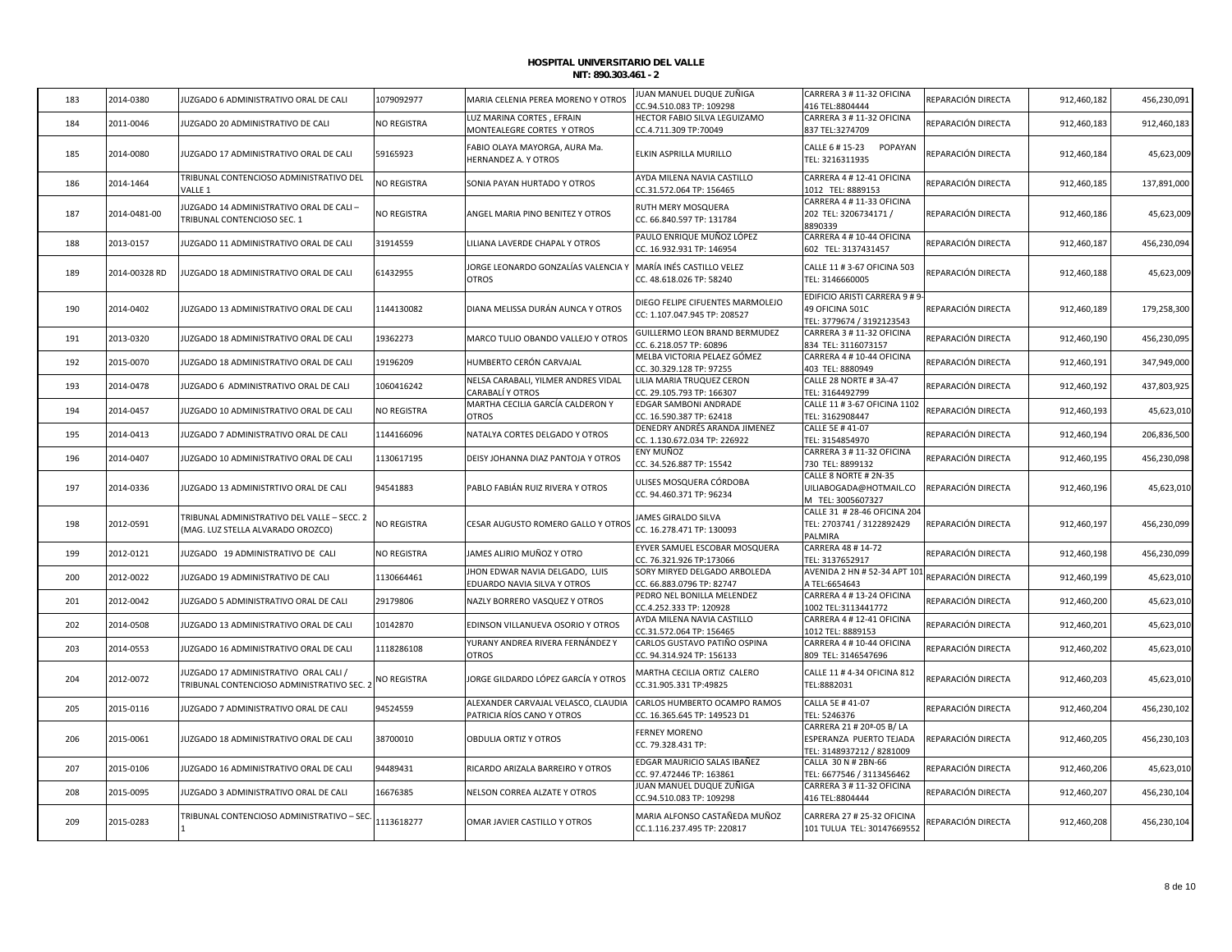| 183 | 2014-0380     | JUZGADO 6 ADMINISTRATIVO ORAL DE CALI                                             | 1079092977  | MARIA CELENIA PEREA MORENO Y OTROS                                | JUAN MANUEL DUQUE ZUÑIGA<br>CC.94.510.083 TP: 109298             | CARRERA 3 # 11-32 OFICINA<br>416 TEL:8804444                                                  | REPARACIÓN DIRECTA | 912,460,182 | 456,230,091 |
|-----|---------------|-----------------------------------------------------------------------------------|-------------|-------------------------------------------------------------------|------------------------------------------------------------------|-----------------------------------------------------------------------------------------------|--------------------|-------------|-------------|
| 184 | 2011-0046     | JUZGADO 20 ADMINISTRATIVO DE CALI                                                 | NO REGISTRA | LUZ MARINA CORTES, EFRAIN<br>MONTEALEGRE CORTES Y OTROS           | HECTOR FABIO SILVA LEGUIZAMO<br>CC.4.711.309 TP:70049            | CARRERA 3 # 11-32 OFICINA<br>837 TEL:3274709                                                  | REPARACIÓN DIRECTA | 912,460,183 | 912,460,183 |
| 185 | 2014-0080     | JUZGADO 17 ADMINISTRATIVO ORAL DE CALI                                            | 59165923    | FABIO OLAYA MAYORGA, AURA Ma.<br>HERNANDEZ A. Y OTROS             | ELKIN ASPRILLA MURILLO                                           | CALLE 6 # 15-23 POPAYAN<br>TEL: 3216311935                                                    | REPARACIÓN DIRECTA | 912,460,184 | 45,623,009  |
| 186 | 2014-1464     | TRIBUNAL CONTENCIOSO ADMINISTRATIVO DEL<br>VALLE 1                                | NO REGISTRA | SONIA PAYAN HURTADO Y OTROS                                       | AYDA MILENA NAVIA CASTILLO<br>CC.31.572.064 TP: 156465           | CARRERA 4 # 12-41 OFICINA<br>1012 TEL: 8889153                                                | REPARACIÓN DIRECTA | 912,460,185 | 137,891,000 |
| 187 | 2014-0481-00  | IUZGADO 14 ADMINISTRATIVO ORAL DE CALI-<br>TRIBUNAL CONTENCIOSO SEC. 1            | NO REGISTRA | ANGEL MARIA PINO BENITEZ Y OTROS                                  | RUTH MERY MOSQUERA<br>CC. 66.840.597 TP: 131784                  | CARRERA 4 # 11-33 OFICINA<br>202 TEL: 3206734171 /<br>8890339                                 | REPARACIÓN DIRECTA | 912,460,186 | 45,623,009  |
| 188 | 2013-0157     | JUZGADO 11 ADMINISTRATIVO ORAL DE CALI                                            | 31914559    | LILIANA LAVERDE CHAPAL Y OTROS                                    | PAULO ENRIQUE MUÑOZ LÓPEZ<br>CC. 16.932.931 TP: 146954           | CARRERA 4 # 10-44 OFICINA<br>602 TEL: 3137431457                                              | REPARACIÓN DIRECTA | 912,460,187 | 456,230,094 |
| 189 | 2014-00328 RD | IUZGADO 18 ADMINISTRATIVO ORAL DE CALI                                            | 61432955    | JORGE LEONARDO GONZALÍAS VALENCIA Y<br>OTROS                      | MARÍA INÉS CASTILLO VELEZ<br>CC. 48.618.026 TP: 58240            | CALLE 11 # 3-67 OFICINA 503<br>TEL: 3146660005                                                | REPARACIÓN DIRECTA | 912,460,188 | 45,623,009  |
| 190 | 2014-0402     | JUZGADO 13 ADMINISTRATIVO ORAL DE CALI                                            | 1144130082  | DIANA MELISSA DURÁN AUNCA Y OTROS                                 | DIEGO FELIPE CIFUENTES MARMOLEJO<br>CC: 1.107.047.945 TP: 208527 | EDIFICIO ARISTI CARRERA 9 # 9-<br>49 OFICINA 501C<br>TEL: 3779674 / 3192123543                | REPARACIÓN DIRECTA | 912,460,189 | 179,258,300 |
| 191 | 2013-0320     | IUZGADO 18 ADMINISTRATIVO ORAL DE CALI                                            | 19362273    | MARCO TULIO OBANDO VALLEJO Y OTROS                                | GUILLERMO LEON BRAND BERMUDEZ<br>CC. 6.218.057 TP: 60896         | CARRERA 3 # 11-32 OFICINA<br>834 TEL: 3116073157                                              | REPARACIÓN DIRECTA | 912,460,190 | 456,230,095 |
| 192 | 2015-0070     | JUZGADO 18 ADMINISTRATIVO ORAL DE CALI                                            | 19196209    | HUMBERTO CERÓN CARVAJAL                                           | MELBA VICTORIA PELAEZ GÓMEZ<br>CC. 30.329.128 TP: 97255          | CARRERA 4 # 10-44 OFICINA<br>403 TEL: 8880949                                                 | REPARACIÓN DIRECTA | 912,460,191 | 347,949,000 |
| 193 | 2014-0478     | JUZGADO 6 ADMINISTRATIVO ORAL DE CALI                                             | 1060416242  | NELSA CARABALI, YILMER ANDRES VIDAL<br>CARABALÍ Y OTROS           | LILIA MARIA TRUQUEZ CERON<br>CC. 29.105.793 TP: 166307           | CALLE 28 NORTE # 3A-47<br>TEL: 3164492799                                                     | REPARACIÓN DIRECTA | 912,460,192 | 437,803,925 |
| 194 | 2014-0457     | JUZGADO 10 ADMINISTRATIVO ORAL DE CALI                                            | NO REGISTRA | MARTHA CECILIA GARCÍA CALDERON Y<br><b>OTROS</b>                  | EDGAR SAMBONI ANDRADE<br>CC. 16.590.387 TP: 62418                | CALLE 11 # 3-67 OFICINA 1102<br>TEL: 3162908447                                               | REPARACIÓN DIRECTA | 912,460,193 | 45,623,010  |
| 195 | 2014-0413     | JUZGADO 7 ADMINISTRATIVO ORAL DE CALI                                             | 1144166096  | NATALYA CORTES DELGADO Y OTROS                                    | DENEDRY ANDRÉS ARANDA JIMENEZ<br>CC. 1.130.672.034 TP: 226922    | CALLE 5E #41-07<br>TEL: 3154854970                                                            | REPARACIÓN DIRECTA | 912,460,194 | 206,836,500 |
| 196 | 2014-0407     | JUZGADO 10 ADMINISTRATIVO ORAL DE CALI                                            | 1130617195  | DEISY JOHANNA DIAZ PANTOJA Y OTROS                                | ENY MUÑOZ<br>CC. 34.526.887 TP: 15542                            | CARRERA 3 # 11-32 OFICINA<br>730 TEL: 8899132                                                 | REPARACIÓN DIRECTA | 912,460,195 | 456,230,098 |
| 197 | 2014-0336     | JUZGADO 13 ADMINISTRTIVO ORAL DE CALI                                             | 94541883    | PABLO FABIÁN RUIZ RIVERA Y OTROS                                  | ULISES MOSQUERA CÓRDOBA<br>CC. 94.460.371 TP: 96234              | CALLE 8 NORTE # 2N-35<br>UILIABOGADA@HOTMAIL.CO<br>M TEL: 3005607327                          | REPARACIÓN DIRECTA | 912,460,196 | 45,623,010  |
| 198 | 2012-0591     | TRIBUNAL ADMINISTRATIVO DEL VALLE - SECC. 2<br>(MAG. LUZ STELLA ALVARADO OROZCO)  | NO REGISTRA | CESAR AUGUSTO ROMERO GALLO Y OTROS                                | JAMES GIRALDO SILVA<br>CC. 16.278.471 TP: 130093                 | CALLE 31 # 28-46 OFICINA 204<br>TEL: 2703741 / 3122892429<br>PALMIRA                          | REPARACIÓN DIRECTA | 912,460,197 | 456,230,099 |
| 199 | 2012-0121     | JUZGADO 19 ADMINISTRATIVO DE CALI                                                 | NO REGISTRA | JAMES ALIRIO MUÑOZ Y OTRO                                         | EYVER SAMUEL ESCOBAR MOSQUERA<br>CC. 76.321.926 TP:173066        | CARRERA 48 # 14-72<br>TEL: 3137652917                                                         | REPARACIÓN DIRECTA | 912,460,198 | 456,230,099 |
| 200 | 2012-0022     | JUZGADO 19 ADMINISTRATIVO DE CALI                                                 | 1130664461  | HON EDWAR NAVIA DELGADO, LUIS<br>EDUARDO NAVIA SILVA Y OTROS      | SORY MIRYED DELGADO ARBOLEDA<br>CC. 66.883.0796 TP: 82747        | AVENIDA 2 HN # 52-34 APT 101<br>A TEL:6654643                                                 | REPARACIÓN DIRECTA | 912,460,199 | 45,623,010  |
| 201 | 2012-0042     | JUZGADO 5 ADMINISTRATIVO ORAL DE CALI                                             | 29179806    | NAZLY BORRERO VASQUEZ Y OTROS                                     | PEDRO NEL BONILLA MELENDEZ<br>CC.4.252.333 TP: 120928            | CARRERA 4 # 13-24 OFICINA<br>1002 TEL:3113441772                                              | REPARACIÓN DIRECTA | 912,460,200 | 45,623,010  |
| 202 | 2014-0508     | JUZGADO 13 ADMINISTRATIVO ORAL DE CALI                                            | 10142870    | EDINSON VILLANUEVA OSORIO Y OTROS                                 | AYDA MILENA NAVIA CASTILLO<br>CC.31.572.064 TP: 156465           | CARRERA 4 # 12-41 OFICINA<br>1012 TEL: 8889153                                                | REPARACIÓN DIRECTA | 912,460,201 | 45,623,010  |
| 203 | 2014-0553     | JUZGADO 16 ADMINISTRATIVO ORAL DE CALI                                            | 1118286108  | YURANY ANDREA RIVERA FERNÁNDEZ Y<br><b>OTROS</b>                  | CARLOS GUSTAVO PATIÑO OSPINA<br>CC. 94.314.924 TP: 156133        | CARRERA 4 # 10-44 OFICINA<br>809 TEL: 3146547696                                              | REPARACIÓN DIRECTA | 912,460,202 | 45,623,010  |
| 204 | 2012-0072     | JUZGADO 17 ADMINISTRATIVO ORAL CALI /<br>TRIBUNAL CONTENCIOSO ADMINISTRATIVO SEC. | NO REGISTRA | JORGE GILDARDO LÓPEZ GARCÍA Y OTROS                               | MARTHA CECILIA ORTIZ CALERO<br>CC.31.905.331 TP:49825            | CALLE 11 # 4-34 OFICINA 812<br>TEL:8882031                                                    | REPARACIÓN DIRECTA | 912,460,203 | 45,623,010  |
| 205 | 2015-0116     | JUZGADO 7 ADMINISTRATIVO ORAL DE CALI                                             | 94524559    | ALEXANDER CARVAJAL VELASCO, CLAUDIA<br>PATRICIA RÍOS CANO Y OTROS | CARLOS HUMBERTO OCAMPO RAMOS<br>CC. 16.365.645 TP: 149523 D1     | CALLA 5E #41-07<br>TEL: 5246376                                                               | REPARACIÓN DIRECTA | 912,460,204 | 456,230,102 |
| 206 | 2015-0061     | JUZGADO 18 ADMINISTRATIVO ORAL DE CALI                                            | 38700010    | OBDULIA ORTIZ Y OTROS                                             | <b>FERNEY MORENO</b><br>CC. 79.328.431 TP:                       | CARRERA 21 # 20 <sup>a</sup> -05 B/LA<br>ESPERANZA PUERTO TEJADA<br>TEL: 3148937212 / 8281009 | REPARACIÓN DIRECTA | 912,460,205 | 456,230,103 |
| 207 | 2015-0106     | JUZGADO 16 ADMINISTRATIVO ORAL DE CALI                                            | 94489431    | RICARDO ARIZALA BARREIRO Y OTROS                                  | EDGAR MAURICIO SALAS IBAÑEZ<br>CC. 97.472446 TP: 163861          | CALLA 30 N # 2BN-66<br>TEL: 6677546 / 3113456462                                              | REPARACIÓN DIRECTA | 912,460,206 | 45,623,010  |
| 208 | 2015-0095     | JUZGADO 3 ADMINISTRATIVO ORAL DE CALI                                             | 16676385    | NELSON CORREA ALZATE Y OTROS                                      | JUAN MANUEL DUQUE ZUÑIGA<br>CC.94.510.083 TP: 109298             | CARRERA 3 # 11-32 OFICINA<br>416 TEL:8804444                                                  | REPARACIÓN DIRECTA | 912,460,207 | 456,230,104 |
| 209 | 2015-0283     | TRIBUNAL CONTENCIOSO ADMINISTRATIVO - SEC.                                        | 1113618277  | OMAR JAVIER CASTILLO Y OTROS                                      | MARIA ALFONSO CASTAÑEDA MUÑOZ<br>CC.1.116.237.495 TP: 220817     | CARRERA 27 # 25-32 OFICINA<br>101 TULUA TEL: 30147669552                                      | REPARACIÓN DIRECTA | 912,460,208 | 456,230,104 |
|     |               |                                                                                   |             |                                                                   |                                                                  |                                                                                               |                    |             |             |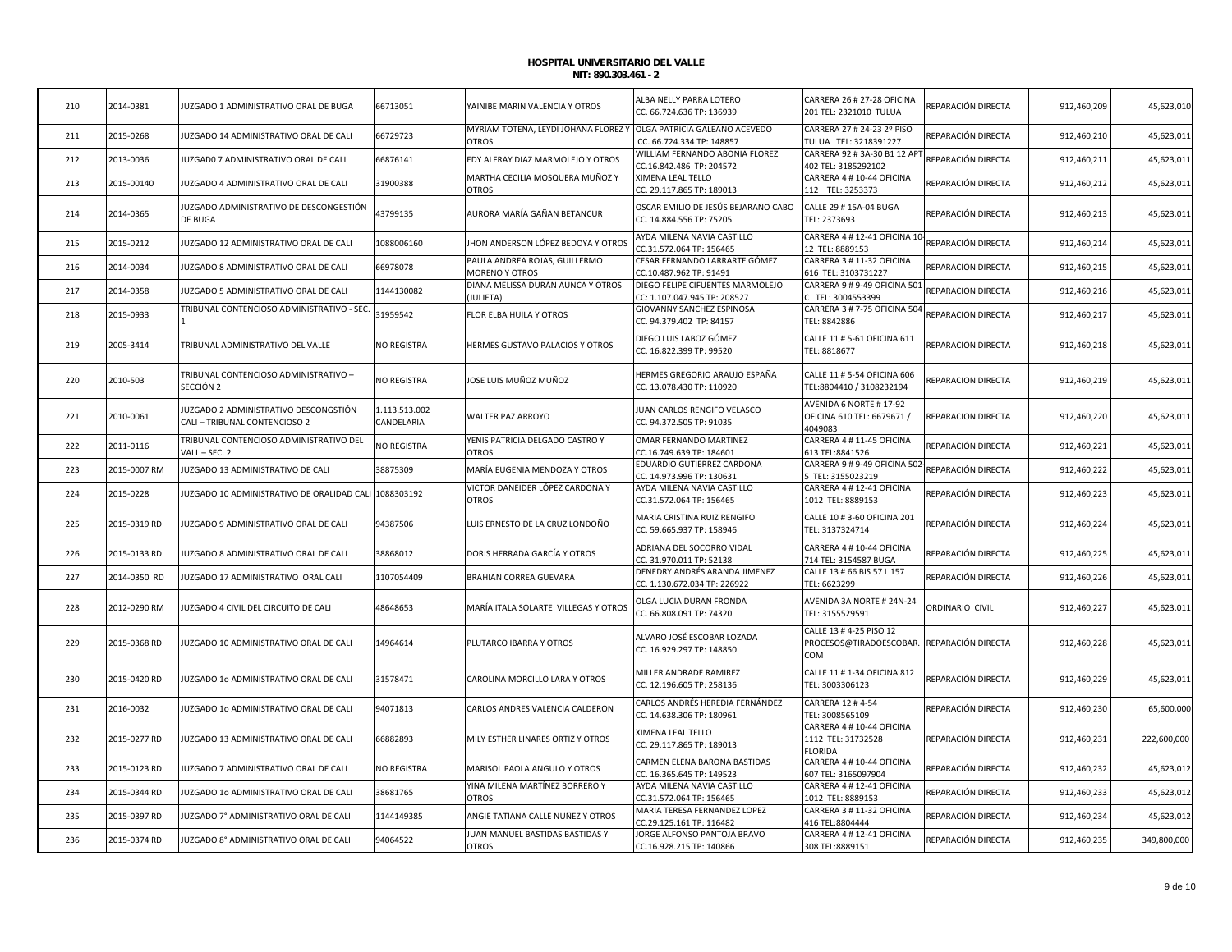| 210 | 2014-0381    | JUZGADO 1 ADMINISTRATIVO ORAL DE BUGA                                  | 66713051                    | YAINIBE MARIN VALENCIA Y OTROS                         | ALBA NELLY PARRA LOTERO<br>CC. 66.724.636 TP: 136939             | CARRERA 26 # 27-28 OFICINA<br>201 TEL: 2321010 TULUA                         | REPARACIÓN DIRECTA | 912,460,209 | 45,623,010  |
|-----|--------------|------------------------------------------------------------------------|-----------------------------|--------------------------------------------------------|------------------------------------------------------------------|------------------------------------------------------------------------------|--------------------|-------------|-------------|
| 211 | 2015-0268    | JUZGADO 14 ADMINISTRATIVO ORAL DE CALI                                 | 56729723                    | MYRIAM TOTENA, LEYDI JOHANA FLOREZ Y<br><b>OTROS</b>   | OLGA PATRICIA GALEANO ACEVEDO<br>CC. 66.724.334 TP: 148857       | CARRERA 27 # 24-23 2º PISO<br>TULUA TEL: 3218391227                          | REPARACIÓN DIRECTA | 912,460,210 | 45,623,011  |
| 212 | 2013-0036    | IUZGADO 7 ADMINISTRATIVO ORAL DE CALI                                  | 6876141                     | EDY ALFRAY DIAZ MARMOLEJO Y OTROS                      | WILLIAM FERNANDO ABONIA FLOREZ<br>CC.16.842.486 TP: 204572       | CARRERA 92 # 3A-30 B1 12 AP<br>402 TEL: 3185292102                           | REPARACIÓN DIRECTA | 912,460,211 | 45,623,011  |
| 213 | 2015-00140   | JUZGADO 4 ADMINISTRATIVO ORAL DE CALI                                  | 31900388                    | MARTHA CECILIA MOSQUERA MUÑOZ Y<br>OTROS               | XIMENA LEAL TELLO<br>CC. 29.117.865 TP: 189013                   | CARRERA 4 # 10-44 OFICINA<br>112 TEL: 3253373                                | REPARACIÓN DIRECTA | 912,460,212 | 45,623,01   |
| 214 | 2014-0365    | JUZGADO ADMINISTRATIVO DE DESCONGESTIÓN<br>DE BUGA                     | 13799135                    | AURORA MARÍA GAÑAN BETANCUR                            | OSCAR EMILIO DE JESÚS BEJARANO CABO<br>CC. 14.884.556 TP: 75205  | CALLE 29 # 15A-04 BUGA<br>TEL: 2373693                                       | REPARACIÓN DIRECTA | 912,460,213 | 45,623,011  |
| 215 | 2015-0212    | UZGADO 12 ADMINISTRATIVO ORAL DE CALI                                  | 1088006160                  | IHON ANDERSON LÓPEZ BEDOYA Y OTROS                     | AYDA MILENA NAVIA CASTILLO<br>CC.31.572.064 TP: 156465           | CARRERA 4 # 12-41 OFICINA 10<br>12 TEL: 8889153                              | REPARACIÓN DIRECTA | 912,460,214 | 45,623,01   |
| 216 | 2014-0034    | JUZGADO 8 ADMINISTRATIVO ORAL DE CALI                                  | 56978078                    | PAULA ANDREA ROJAS, GUILLERMO<br><b>MORENO Y OTROS</b> | CESAR FERNANDO LARRARTE GÓMEZ<br>CC.10.487.962 TP: 91491         | CARRERA 3 # 11-32 OFICINA<br>616 TEL: 3103731227                             | REPARACION DIRECTA | 912,460,215 | 45,623,01   |
| 217 | 2014-0358    | JUZGADO 5 ADMINISTRATIVO ORAL DE CALI                                  | 1144130082                  | DIANA MELISSA DURÁN AUNCA Y OTROS<br>JULIETA)          | DIEGO FELIPE CIFUENTES MARMOLEJO<br>CC: 1.107.047.945 TP: 208527 | CARRERA 9 # 9-49 OFICINA 501<br>TEL: 3004553399                              | REPARACION DIRECTA | 912,460,216 | 45,623,011  |
| 218 | 2015-0933    | TRIBUNAL CONTENCIOSO ADMINISTRATIVO - SEC                              | 31959542                    | FLOR ELBA HUILA Y OTROS                                | GIOVANNY SANCHEZ ESPINOSA<br>CC. 94.379.402 TP: 84157            | CARRERA 3 # 7-75 OFICINA 504<br>TEL: 8842886                                 | REPARACION DIRECTA | 912,460,217 | 45,623,011  |
| 219 | 2005-3414    | TRIBUNAL ADMINISTRATIVO DEL VALLE                                      | NO REGISTRA                 | HERMES GUSTAVO PALACIOS Y OTROS                        | DIEGO LUIS LABOZ GÓMEZ<br>CC. 16.822.399 TP: 99520               | CALLE 11 # 5-61 OFICINA 611<br>TEL: 8818677                                  | REPARACION DIRECTA | 912,460,218 | 45,623,011  |
| 220 | 2010-503     | TRIBUNAL CONTENCIOSO ADMINISTRATIVO -<br>SECCIÓN 2                     | NO REGISTRA                 | JOSE LUIS MUÑOZ MUÑOZ                                  | HERMES GREGORIO ARAUJO ESPAÑA<br>CC. 13.078.430 TP: 110920       | CALLE 11 # 5-54 OFICINA 606<br>TEL:8804410 / 3108232194                      | REPARACION DIRECTA | 912,460,219 | 45,623,011  |
| 221 | 2010-0061    | JUZGADO 2 ADMINISTRATIVO DESCONGSTIÓN<br>CALI - TRIBUNAL CONTENCIOSO 2 | 1.113.513.002<br>CANDELARIA | WALTER PAZ ARROYO                                      | JUAN CARLOS RENGIFO VELASCO<br>CC. 94.372.505 TP: 91035          | AVENIDA 6 NORTE # 17-92<br>OFICINA 610 TEL: 6679671 /<br>4049083             | REPARACION DIRECTA | 912,460,220 | 45,623,011  |
| 222 | 2011-0116    | TRIBUNAL CONTENCIOSO ADMINISTRATIVO DEL<br>VALL - SEC. 2               | <b>VO REGISTRA</b>          | YENIS PATRICIA DELGADO CASTRO Y<br>OTROS               | OMAR FERNANDO MARTINEZ<br>CC.16.749.639 TP: 184601               | CARRERA 4 # 11-45 OFICINA<br>613 TEL:8841526                                 | REPARACIÓN DIRECTA | 912,460,221 | 45,623,011  |
| 223 | 2015-0007 RM | JUZGADO 13 ADMINISTRATIVO DE CALI                                      | 38875309                    | MARÍA EUGENIA MENDOZA Y OTROS                          | EDUARDIO GUTIERREZ CARDONA<br>CC. 14.973.996 TP: 130631          | CARRERA 9 # 9-49 OFICINA 502<br>5 TEL: 3155023219                            | REPARACIÓN DIRECTA | 912,460,222 | 45,623,011  |
| 224 | 2015-0228    | JUZGADO 10 ADMINISTRATIVO DE ORALIDAD CALI 1088303192                  |                             | VICTOR DANEIDER LÓPEZ CARDONA Y<br><b>OTROS</b>        | AYDA MILENA NAVIA CASTILLO<br>CC.31.572.064 TP: 156465           | CARRERA 4 # 12-41 OFICINA<br>1012 TEL: 8889153                               | REPARACIÓN DIRECTA | 912,460,223 | 45,623,01   |
| 225 | 2015-0319 RD | JUZGADO 9 ADMINISTRATIVO ORAL DE CALI                                  | 94387506                    | LUIS ERNESTO DE LA CRUZ LONDOÑO                        | MARIA CRISTINA RUIZ RENGIFO<br>CC. 59.665.937 TP: 158946         | CALLE 10 # 3-60 OFICINA 201<br>TEL: 3137324714                               | REPARACIÓN DIRECTA | 912,460,224 | 45,623,011  |
| 226 | 2015-0133 RD | IUZGADO 8 ADMINISTRATIVO ORAL DE CALI                                  | 38868012                    | DORIS HERRADA GARCÍA Y OTROS                           | ADRIANA DEL SOCORRO VIDAL<br>CC. 31.970.011 TP: 52138            | CARRERA 4 # 10-44 OFICINA<br>714 TEL: 3154587 BUGA                           | REPARACIÓN DIRECTA | 912,460,225 | 45,623,01   |
| 227 | 2014-0350 RD | JUZGADO 17 ADMINISTRATIVO ORAL CALI                                    | 1107054409                  | <b>BRAHIAN CORREA GUEVARA</b>                          | DENEDRY ANDRÉS ARANDA JIMENEZ<br>CC. 1.130.672.034 TP: 226922    | CALLE 13 # 66 BIS 57 L 157<br>TEL: 6623299                                   | REPARACIÓN DIRECTA | 912,460,226 | 45,623,011  |
| 228 | 2012-0290 RM | JUZGADO 4 CIVIL DEL CIRCUITO DE CALI                                   | 48648653                    | MARÍA ITALA SOLARTE VILLEGAS Y OTROS                   | OLGA LUCIA DURAN FRONDA<br>CC. 66.808.091 TP: 74320              | AVENIDA 3A NORTE # 24N-24<br>TEL: 3155529591                                 | ORDINARIO CIVIL    | 912,460,227 | 45,623,011  |
| 229 | 2015-0368 RD | JUZGADO 10 ADMINISTRATIVO ORAL DE CALI                                 | 14964614                    | PLUTARCO IBARRA Y OTROS                                | ALVARO JOSÉ ESCOBAR LOZADA<br>CC. 16.929.297 TP: 148850          | CALLE 13 # 4-25 PISO 12<br>PROCESOS@TIRADOESCOBAR. REPARACIÓN DIRECTA<br>COM |                    | 912,460,228 | 45,623,011  |
| 230 | 2015-0420 RD | JUZGADO 10 ADMINISTRATIVO ORAL DE CALI                                 | 31578471                    | CAROLINA MORCILLO LARA Y OTROS                         | MILLER ANDRADE RAMIREZ<br>CC. 12.196.605 TP: 258136              | CALLE 11 # 1-34 OFICINA 812<br>TEL: 3003306123                               | REPARACIÓN DIRECTA | 912,460,229 | 45,623,011  |
| 231 | 2016-0032    | JUZGADO 10 ADMINISTRATIVO ORAL DE CALI                                 | 94071813                    | CARLOS ANDRES VALENCIA CALDERON                        | CARLOS ANDRÉS HEREDIA FERNÁNDEZ<br>CC. 14.638.306 TP: 180961     | CARRERA 12 #4-54<br>TEL: 3008565109                                          | REPARACIÓN DIRECTA | 912,460,230 | 65,600,000  |
| 232 | 2015-0277 RD | JUZGADO 13 ADMINISTRATIVO ORAL DE CALI                                 | 56882893                    | MILY ESTHER LINARES ORTIZ Y OTROS                      | XIMENA LEAL TELLO<br>CC. 29.117.865 TP: 189013                   | CARRERA 4 # 10-44 OFICINA<br>1112 TEL: 31732528<br><b>FLORIDA</b>            | REPARACIÓN DIRECTA | 912,460,231 | 222,600,000 |
| 233 | 2015-0123 RD | JUZGADO 7 ADMINISTRATIVO ORAL DE CALI                                  | NO REGISTRA                 | MARISOL PAOLA ANGULO Y OTROS                           | CARMEN ELENA BARONA BASTIDAS<br>CC. 16.365.645 TP: 149523        | CARRERA 4 # 10-44 OFICINA<br>607 TEL: 3165097904                             | REPARACIÓN DIRECTA | 912,460,232 | 45,623,01   |
| 234 | 2015-0344 RD | JUZGADO 10 ADMINISTRATIVO ORAL DE CALI                                 | 38681765                    | YINA MILENA MARTÍNEZ BORRERO Y<br><b>OTROS</b>         | AYDA MILENA NAVIA CASTILLO<br>CC.31.572.064 TP: 156465           | CARRERA 4 # 12-41 OFICINA<br>1012 TEL: 8889153                               | REPARACIÓN DIRECTA | 912,460,233 | 45,623,012  |
| 235 | 2015-0397 RD | JUZGADO 7º ADMINISTRATIVO ORAL DE CALI                                 | 1144149385                  | ANGIE TATIANA CALLE NUÑEZ Y OTROS                      | MARIA TERESA FERNANDEZ LOPEZ<br>CC.29.125.161 TP: 116482         | CARRERA 3 # 11-32 OFICINA<br>416 TEL:8804444                                 | REPARACIÓN DIRECTA | 912,460,234 | 45,623,012  |
| 236 | 2015-0374 RD | JUZGADO 8º ADMINISTRATIVO ORAL DE CALI                                 | 94064522                    | JUAN MANUEL BASTIDAS BASTIDAS Y<br><b>OTROS</b>        | JORGE ALFONSO PANTOJA BRAVO<br>CC.16.928.215 TP: 140866          | CARRERA 4 # 12-41 OFICINA<br>308 TEL:8889151                                 | REPARACIÓN DIRECTA | 912,460,235 | 349,800,000 |
|     |              |                                                                        |                             |                                                        |                                                                  |                                                                              |                    |             |             |